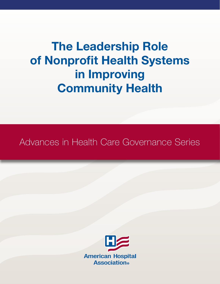# The Leadership Role of Nonprofit Health Systems in Improving Community Health

## Advances in Health Care Governance Series

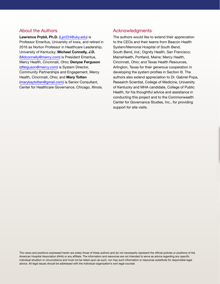### About the Authors

Lawrence Prybil, Ph.D. (Lpr224@uky.edu) is Professor Emeritus, University of Iowa, and retired in 2016 as Norton Professor in Healthcare Leadership, University of Kentucky; Michael Connelly, J.D. (Mdconnelly@mercy.com) is President Emeritus, Mercy Health, Cincinnati, Ohio; Denyse Ferguson (dferguson@mercy.com) is System Director, Community Partnerships and Engagement, Mercy Health, Cincinnati, Ohio; and Mary Totten (marykaytotten@gmail.com) is Senior Consultant, Center for Healthcare Governance, Chicago, Illinois.

### Acknowledgments

The authors would like to extend their appreciation to the CEOs and their teams from Beacon Health System/Memorial Hospital of South Bend, South Bend, Ind.; Dignity Health, San Francisco; MaineHealth, Portland, Maine; Mercy Health, Cincinnati, Ohio; and Texas Health Resources, Arlington, Texas for their generous cooperation in developing the system profiles in Section III. The authors also extend appreciation to Dr. Gabriel Popa, Research Scientist, College of Medicine, University of Kentucky and MHA candidate, College of Public Health, for his thoughtful advice and assistance in conducting this project and to the Commonwealth Center for Governance Studies, Inc., for providing support for site visits.

The views and positions expressed herein are solely those of these authors and do not necessarily represent the official policies or positions of the American Hospital Association (AHA) or any affiliate. The information and resources are not intended to serve as advice regarding any specific individual situation or circumstance and must not be relied upon as such, nor may such information or resources substitute for responsible legal advice. All legal issues should be addressed with the individual organization's own legal counsel.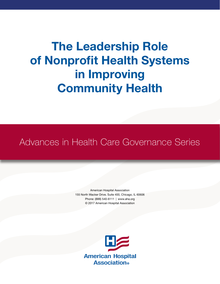# The Leadership Role of Nonprofit Health Systems in Improving Community Health

## Advances in Health Care Governance Series

American Hospital Association 155 North Wacker Drive, Suite 400, Chicago, IL 60606 Phone: (888) 540-6111 | www.aha.org © 2017 American Hospital Association

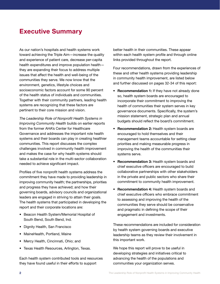### Executive Summary

As our nation's hospitals and health systems work toward achieving the Triple Aim—increase the quality and experience of patient care, decrease per-capita health expenditures and improve population health they are expanding their focus to address multiple issues that affect the health and well-being of the communities they serve. We now know that the environment, genetics, lifestyle choices and socioeconomic factors account for some 90 percent of the health status of individuals and communities. Together with their community partners, leading health systems are recognizing that these factors are pertinent to their core mission and vision.

*The Leadership Role of Nonprofit Health Systems in Improving Community Health* builds on earlier reports from the former AHA's Center for Healthcare Governance and addresses the important role health systems and their boards can play in creating healthier communities. This report discusses the complex challenges involved in community health improvement and makes the case for why health systems should take a substantial role in the multi-sector collaboration needed to achieve significant impact.

Profiles of five nonprofit health systems address the commitment they have made to providing leadership in improving community health; the partnerships, priorities and progress they have achieved; and how their governing boards, advisory councils and organizational leaders are engaged in striving to attain their goals. The health systems that participated in developing the report and their corporate locations are:

- Beacon Health System/Memorial Hospital of South Bend, South Bend, Ind.
- Dignity Health, San Francisco
- MaineHealth, Portland, Maine
- Mercy Health, Cincinnati, Ohio; and
- Texas Health Resources, Arlington, Texas.

Each health system contributed tools and resources they have found useful in their efforts to support

better health in their communities. These appear within each health system profile and through online links provided throughout the report.

Four recommendations, drawn from the experiences of these and other health systems providing leadership in community health improvement, are listed below and further discussed on pages 32-34 of this report:

- Recommendation 1: If they have not already done so, health system boards are encouraged to incorporate their commitment to improving the health of communities their system serves in key governance documents. Specifically, the system's mission statement, strategic plan and annual budgets should reflect the board's commitment.
- Recommendation 2: Health system boards are encouraged to hold themselves and their management teams accountable for setting clear priorities and making measurable progress in improving the health of the communities their systems serve.
- Recommendation 3: Health system boards and chief executive officers are encouraged to build collaborative partnerships with other stakeholders in the private and public sectors who share their commitment to community health improvement.
- Recommendation 4: Health system boards and chief executive officers who embrace commitment to assessing and improving the health of the communities they serve should be conservative and pragmatic in defining the scope of their engagement and investments.

These recommendations are included for consideration by health system governing boards and executive leadership teams as they review their involvement in this important work.

We hope this report will prove to be useful in developing strategies and initiatives critical to advancing the health of the populations and communities your organization serves.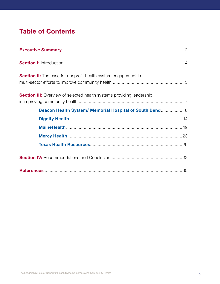### Table of Contents

| <b>Section II:</b> The case for nonprofit health system engagement in        |
|------------------------------------------------------------------------------|
| <b>Section III:</b> Overview of selected health systems providing leadership |
|                                                                              |
| Beacon Health System/ Memorial Hospital of South Bend8                       |
|                                                                              |
|                                                                              |
|                                                                              |
|                                                                              |
|                                                                              |
|                                                                              |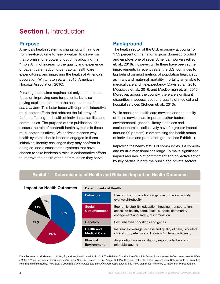### **Section I.** Introduction

### **Purpose**

America's health system is changing, with a move from fee-for-volume to fee-for-value. To deliver on that promise, one powerful option is adopting the "Triple Aim" of increasing the quality and experience of patient care, reducing per capita health care expenditures, and improving the health of America's population (Whittington et. al., 2015; American Hospital Association, 2016).

Pursuing these aims requires not only a continuous focus on improving care for patients, but also paying explicit attention to the health status of our *communities*. This latter focus will require collaborative, multi-sector efforts that address the full array of factors affecting the health of individuals, families and communities. The purpose of this publication is to discuss the role of nonprofit health systems in these multi-sector initiatives. We address reasons why health systems should become engaged in these initiatives, identify challenges they may confront in doing so, and discuss some systems that have chosen to take leadership roles in collaborative efforts to improve the health of the communities they serve.

### **Background**

The health sector of the U.S. economy accounts for 17.5 percent of the nation's gross domestic product and employs one of seven American workers (Glied et. al., 2016). However, while there have been some improvements in recent years, the U.S. continues to lag behind on most metrics of population health, such as infant and maternal mortality, mortality amenable to medical care and life expectancy (Davis et. al., 2016; Mossialos et. al., 2016; and MacDorman et. al., 2016). Moreover, across the country, there are significant disparities in access, cost and quality of medical and hospital services (Schoen et. al., 2013).

While access to health care services and the quality of those services are important, other factors environmental, genetic, lifestyle choices and socioeconomic—collectively have far greater impact (around 90 percent) in determining the health status of individuals and population groups (see Exhibit 1).

Improving the health status of communities is a complex and multi-dimensional challenge. To make significant impact requires joint commitment and collective action by key parties in both the public and private sectors.



### Exhibit 1 – Determinants of Health and Relative Impact on Health Outcomes

Data Sources: 1. McGovern, L., Miller, G., and Hughes-Cromwick, P. 2014. The Relative Contribution of Multiple Determinants to Health Outcomes. *Health Affairs / Robert Wood Johnson Foundation: Health Policy Brief*. 2. Heiman, H., and Artiga, S. 2015. Beyond Health Care: The Role of Social Determinants in Promoting Health and Health Equity. *The Kaiser Commission on Medicaid and the Uninsured: Issue Brief*. Menlo Park, California: The Henry J. Kaiser Family Foundation.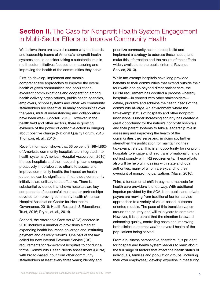### **Section II.** The Case for Nonprofit Health System Engagement in Multi-Sector Efforts to Improve Community Health

We believe there are several reasons why the boards and leadership teams of America's nonprofit health systems should consider taking a substantial role in multi-sector initiatives focused on measuring and improving the health of the communities they serve.

First, to develop, implement and sustain comprehensive approaches to improve the overall health of given communities and populations, excellent communications and cooperation among health delivery organizations, public health agencies, employers, school systems and other key community stakeholders are essential. In many communities over the years, mutual understanding and collaboration have been weak (Shortell, 2013). However, in the health field and other sectors, there is growing evidence of the power of collective action in bringing about positive change (National Quality Forum, 2016; Thornton, et. al., 2016).

Recent information shows that 66 percent (3,198/4,862) of America's community hospitals are integrated into health systems (American Hospital Association, 2016). If these hospitals and their leadership teams engage proactively in collaborative efforts to assess and improve community health, the impact on health outcomes can be significant; if not, these community initiatives are unlikely to be effective. There is substantial evidence that shows hospitals are key components of successful multi-sector partnerships devoted to improving community health (American Hospital Association Center for Healthcare Governance, 2016; Health Research & Educational Trust, 2016; Prybil, et. al., 2014).

Second, the Affordable Care Act (ACA) enacted in 2010 included a number of provisions aimed at expanding health insurance coverage and instituting payment and delivery reforms. One part of the law called for new Internal Revenue Service (IRS) requirements for tax-exempt hospitals to conduct a formal Community Health Needs Assessment (CHNA) with broad-based input from other community stakeholders at least every three years; identify and

prioritize community health needs; build and implement a strategy to address these needs; and make this information and the results of their efforts widely available to the public (Internal Revenue Service, 2013).

While tax-exempt hospitals have long provided benefits to their communities that extend outside their four walls and go beyond direct patient care, the CHNA requirement has codified a process whereby hospitals—in concert with other stakeholders define, prioritize and address the health needs of the community at-large. An environment where the tax-exempt status of hospitals and other nonprofit institutions is under increasing scrutiny has created a great opportunity for the nation's nonprofit hospitals and their parent systems to take a leadership role in assessing and improving the health of the communities they serve and, in doing so, further strengthen the justification for maintaining their tax-exempt status. This is an opportunity for nonprofit hospitals to engage and lead transformational change, not just comply with IRS requirements. These efforts also will be helpful in dealing with state and local authorities, many of whom are expanding their oversight of nonprofit organizations (Mayer, 2016).

Third, a fundamental shift in payment methods for health care providers is underway. With additional impetus provided by the ACA, both public and private payers are moving from traditional fee-for-service approaches to a variety of value-based, outcomeoriented models. The pace of this transition varies around the country and will take years to complete. However, it is apparent that the direction is toward enhancing quality, controlling costs and improving both clinical outcomes *and* the overall health of the populations being served.

From a business perspective, therefore, it is prudent for hospital and health system leaders to learn about the full range of factors that affect the health status of individuals, families and population groups (including their own employees); develop expertise in measuring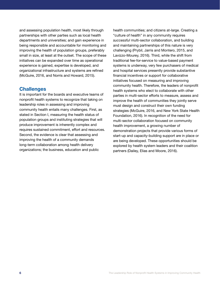and assessing population health, most likely through partnerships with other parties such as local health departments and universities; and gain experience in being responsible and accountable for monitoring and improving the health of population groups, preferably small in size, at least at the outset. The scope of these initiatives can be expanded over time as operational experience is gained, expertise is developed, and organizational infrastructure and systems are refined (McGuire, 2016, and Norris and Howard, 2015).

### **Challenges**

It is important for the boards and executive teams of nonprofit health systems to recognize that taking on leadership roles in assessing and improving community health entails many challenges. First, as stated in Section I, measuring the health status of population groups and instituting strategies that will produce improvement is inherently complex and requires sustained commitment, effort and resources. Second, the evidence is clear that assessing and improving the health of a community demands long-term collaboration among health delivery organizations; the business, education and public

health communities; and citizens at-large. Creating a "culture of health" in any community requires *successful* multi-sector collaboration, and building and maintaining partnerships of this nature is very challenging (Prybil, Jarris and Montero, 2015, and Lavizzo-Mourey, 2016). Third, while the shift from traditional fee-for-service to value-based payment systems is underway, very few purchasers of medical and hospital services presently provide substantive financial incentives or support for collaborative initiatives focused on measuring and improving community health. Therefore, the leaders of nonprofit health systems who elect to collaborate with other parties in multi-sector efforts to measure, assess and improve the health of communities they jointly serve must design and construct their own funding strategies (McGuire, 2016, and New York State Health Foundation, 2016). In recognition of the need for multi-sector collaboration focused on community health improvement, a growing number of demonstration projects that provide various forms of start-up and capacity-building support are in place or are being developed. These opportunities should be explored by health system leaders and their coalition partners (Dailey, Elias and Moore, 2016).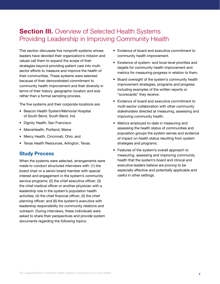### **Section III.** Overview of Selected Health Systems Providing Leadership in Improving Community Health

This section discusses five nonprofit systems whose leaders have decided their organization's mission and values call them to expand the scope of their strategies beyond providing patient care into multisector efforts to measure and improve the health of their communities. These systems were selected because of their demonstrated commitment to community health improvement and their diversity in terms of their history, geographic location and size rather than a formal sampling process.

The five systems and their corporate locations are:

- Beacon Health System/Memorial Hospital of South Bend, South Bend, Ind.
- Dignity Health, San Francisco
- MaineHealth, Portland, Maine
- Mercy Health, Cincinnati, Ohio; and
- Texas Health Resources, Arlington, Texas.

### Study Process

When the systems were selected, arrangements were made to conduct structured interviews with: (1) the board chair or a senior board member with special interest and engagement in the system's community service programs; (2) the chief executive officer; (3) the chief medical officer or another physician with a leadership role in the system's population health activities; (4) the chief financial officer; (5) the chief planning officer; and (6) the system's executive with leadership responsibility for community relations and outreach. During interviews, these individuals were asked to share their perspectives and provide system documents regarding the following topics:

- Evidence of board and executive commitment to community health improvement.
- Existence of system- and local-level priorities and targets for community health improvement and metrics for measuring progress in relation to them.
- Board oversight of the system's community health improvement strategies, programs and progress including examples of the written reports or "scorecards" they receive.
- Evidence of board and executive commitment to multi-sector collaboration with other community stakeholders directed at measuring, assessing and improving community health.
- Metrics employed to-date in measuring and assessing the health status of communities and population groups the system serves and evidence of impact on health status resulting from system strategies and programs.
- Features of the system's overall approach to measuring, assessing and improving community health that the system's board and clinical and executive leaders believe are proving to be especially effective and potentially applicable and useful in other settings.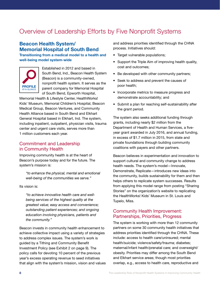### Overview of Leadership Efforts by Five Nonprofit Systems

### Beacon Health System/ Memorial Hospital of South Bend

Transitioning from a medical model to a health and well-being model system-wide



Established in 2012 and based in South Bend, Ind., Beacon Health System (Beacon) is a community-owned, nonprofit health system. It serves as the parent company for Memorial Hospital of South Bend, Epworth Hospital,

Memorial Health & Lifestyle Center, HealthWorks! Kids' Museum, Memorial Children's Hospital, Beacon Medical Group, Beacon Ventures, and Community Health Alliance based in South Bend and Elkhart General Hospital based in Elkhart, Ind. The system, including inpatient, outpatient, physician visits, trauma center and urgent care visits, serves more than 1 million customers each year.

### Commitment and Leadership in Community Health

Improving community health is at the heart of Beacon's purpose today and for the future. The system's mission is:

*"to enhance the physical, mental and emotional well-being of the communities we serve."*

Its vision is:

*"to achieve innovative health care and wellbeing services of the highest quality at the greatest value; easy access and convenience; outstanding patient experiences; and ongoing education involving physicians, patients and the community."*

Beacon invests in community health enhancement to achieve collective impact using a variety of strategies to address complex issues. The system's work is guided by a Tithing and Community Benefit Investment Policy (see Exhibit 2 on page 9). The policy calls for devoting 10 percent of the previous year's excess operating revenue to seed initiatives that align with the system's mission, vision and values and address priorities identified through the CHNA process. Initiatives should:

- Target vulnerable populations;
- Support the Triple Aim of improving health quality, cost and outcomes;
- Be developed with other community partners;
- Seek to address and prevent the causes of poor health;
- Incorporate metrics to measure progress and demonstrate accountability; and
- Submit a plan for reaching self-sustainability after the grant period.

The system also seeks additional funding through grants, including nearly \$2 million from the Department of Health and Human Services, a fiveyear grant awarded in July 2016, and annual funding, in excess of \$1.7 million in 2015, from state and private foundations through building community coalitions with payers and other partners.

Beacon believes in experimentation and innovation to support cultural and community change to address health needs. The system's model—Innovate, Demonstrate, Replicate—introduces new ideas into the community, builds sustainability for them and then helps others to replicate system successes. Results from applying this model range from posting "Sharing Stories" on the organization's website to replicating the HealthWorks! Kids' Museum in St. Louis and Tupelo, Miss.

### Community Health Improvement: Partnerships, Priorities, Progress

The system is working with more than 12 community partners on some 30 community health initiatives that address priorities identified through the CHNA. These include: access to health care/uninsured; mental health/suicide; violence/safety/trauma; diabetes; maternal/infant health/prenatal care; and overweight/ obesity. Priorities may differ among the South Bend and Elkhart service areas; though most priorities overlap, e.g., access to health care, reproductive and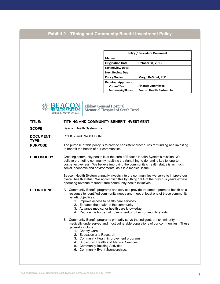### Exhibit 2 – Tithing and Community Benefit Investment Policy

| <b>Policy / Procedure Document</b> |                            |  |  |  |
|------------------------------------|----------------------------|--|--|--|
| Manual:                            |                            |  |  |  |
| <b>Origination Date:</b>           | October 31, 2013           |  |  |  |
| <b>Last Review Date:</b>           |                            |  |  |  |
| <b>Next Review Due:</b>            |                            |  |  |  |
| <b>Policy Owner:</b>               | <b>Margo DeMont, PhD</b>   |  |  |  |
| <b>Required Approvals:</b>         |                            |  |  |  |
| Committee:                         | <b>Finance Committee</b>   |  |  |  |
| Leadership/Board:                  | Beacon Health System, Inc. |  |  |  |



Elkhart General Hospital<br>Memorial Hospital of South Bend

| TITLE:                   | TITHING AND COMMUNITY BENEFIT INVESTMENT                                                                                                                                                                                                                                                                                                                                                                 |  |  |  |  |  |  |
|--------------------------|----------------------------------------------------------------------------------------------------------------------------------------------------------------------------------------------------------------------------------------------------------------------------------------------------------------------------------------------------------------------------------------------------------|--|--|--|--|--|--|
| <b>SCOPE:</b>            | Beacon Health System, Inc.                                                                                                                                                                                                                                                                                                                                                                               |  |  |  |  |  |  |
| <b>DOCUMENT</b><br>TYPE: | POLICY and PROCEDURE                                                                                                                                                                                                                                                                                                                                                                                     |  |  |  |  |  |  |
| <b>PURPOSE:</b>          | The purpose of this policy is to provide consistent procedures for funding and investing<br>to benefit the health of our communities.                                                                                                                                                                                                                                                                    |  |  |  |  |  |  |
| <b>PHILOSOPHY:</b>       | Creating community health is at the core of Beacon Health System's mission. We<br>believe promoting community health is the right thing to do, and is key to long-term<br>cost-effectiveness. We believe improving the community's health status is as much<br>social, economic and environmental as it is a medical issue.                                                                              |  |  |  |  |  |  |
|                          | Beacon Health System annually invests into the communities we serve to improve our<br>overall health status. We accomplish this by tithing 10% of the previous year's excess<br>operating revenue to fund future community health initiatives.                                                                                                                                                           |  |  |  |  |  |  |
| <b>DEFINITIONS:</b>      | A. Community Benefit programs and services provide treatment, promote health as a<br>response to identified community needs and meet at least one of these community<br>benefit objectives:<br>1. Improve access to health care services<br>2. Enhance the health of the community<br>3. Advance medical or health care knowledge<br>4. Reduce the burden of government or other community efforts.      |  |  |  |  |  |  |
|                          | B. Community Benefit programs primarily serve the indigent, at-risk, minority,<br>medically underserved and most vulnerable populations of our communities. These<br>generally include:<br>1. Charity Care<br>2. Education and Research<br>3. Community Health improvement programs<br>4. Subsidized Health and Medical Services<br>5. Community Building Activities<br>6. Community Event Sponsorships. |  |  |  |  |  |  |
|                          | 1                                                                                                                                                                                                                                                                                                                                                                                                        |  |  |  |  |  |  |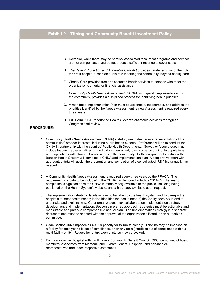### Exhibit 2 – Tithing and Community Benefit Investment Policy

- C. Revenue, while there may be nominal associated fees, most programs and services are not compensated and do not produce sufficient revenue to cover costs.
- D. *The Patient Protection and Affordable Care Act* provides careful scrutiny of the notfor-profit hospital's charitable role of supporting the community, beyond charity care.
- E. Charity Care provides free or discounted health services to persons who meet the organization's criteria for financial assistance.
- F. *Community Health Needs Assessment (CHNA)*, with specific representation from the community, provides a disciplined process for identifying health priorities.
- G. A mandated Implementation Plan must be actionable, measurable, and address the priorities identified by the Needs Assessment; a new Assessment is required every three years.
- H. IRS Form 990-H reports the Health System's charitable activities for regular Congressional review.

#### **PROCEDURE:**

- 1. Community Health Needs Assessment (CHNA) statutory mandates require representation of the communities' broader interests, including public health experts. Preference will be to conduct the CHNA in partnership with the counties' Public Health Departments. Survey or focus groups must include leaders, representatives of medically underserved, low-income, and minority populations, and populations with chronic disease needs in the community. Both care-partner hospitals within Beacon Health System will complete a CHNA and implementation plan. A cooperative effort with aggregated data will assist the preparation and completion of a consolidated IRS filing annually, as needed.
- 2. A Community Health Needs Assessment is required every three years by the PPACA. The requirements of data to be included in the CHNA can be found in Notice 2011-52. The year of completion is signified once the CHNA is made widely available to the public, including being published on the Health System's website, and a hard copy available upon request.
- 3. The implementation strategy details actions to be taken by the health system and its care-partner hospitals to meet health needs; it also identifies the health need(s) the facility does *not* intend to undertake and explains why. Other organizations may collaborate on implementation strategy development and implementation, Beacon's preferred approach. Strategies must be actionable and measurable and part of a comprehensive annual plan. The Implementation Strategy is a separate document and must be adopted with the approval of the organization's Board, or an authorized committee.
- 4. Code Section 4959 imposes a \$50,000 penalty for failure to comply. This fine may be imposed on a facility for each year it is out of compliance, or on any (or all) facilities out of compliance within a multi-facility entity. Revocation of tax-exempt status may be evoked.
- 5. Each care-partner hospital within will have a Community Benefit Council (CBC) comprised of board members, associates from Memorial and Elkhart General Hospitals, and non-medical representatives from each respective community.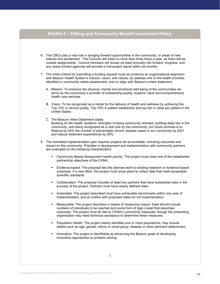### Exhibit 2 – Tithing and Community Benefit Investment Policy

- 6. The CBCs play a vital role in bringing forward opportunities in the community, or areas of new interest and excitement. The Councils will meet no more than three times a year, as there will be outside assignments. Council members will review (at least annually) the funders' progress; and any newly-funded agencies will provide a mid-project report within six-months.
- 7. The initial criteria for submitting a funding request must (a) evidence an organizational alignment with Beacon Health System's mission, vision, and values; (b) address one of the health priorities identified in community needs assessment, and (c) align with Beacon's intent statement.
	- A. Mission: To enhance the physical, mental and emotional well-being of the communities we serve as the community's provider of outstanding quality, superior value and comprehensive health care services.
	- B. Vision: To be recognized as a model for the delivery of health and wellness by achieving the Top 10% in clinical quality, Top 10% in patient satisfaction and top tier in value per patient in the United States.
	- C. The Beacon Intent Statement states: Building on the Health Systems' strengths of being community oriented, building deep ties in the community, and being recognized as a core hub by the community, our future promise is to: Reduce by 40% the number of preventable chronic disease cases in our community by 2021 and reduce treatment expenditures by 50%.
- 8. The mandated implementation plan requires projects be accountable, including outcomes and impact on the community. Priorities in development and implementation with community partners are evaluated on the following characteristics:
	- Community Needs Assessment health priority: The project must meet one of the established partnership objectives of the CHNA.
	- Evidence-based: The proposal ties the planned work to existing research or evidence-based outcomes. If a new effort, the project must show plans to collect data that meet acceptable scientific standards.
	- Collaboration: The proposal includes at least two partners that have substantial roles in the success of the project. Partners must have clearly defined roles.
	- Actionable: The project described must have achievable benchmarks within one year of implementation, and an outline with proposed dates for full implementation.
	- Measurable: The project describes a means of measuring impact. Data should include numbers of individuals to be reached and some form of logic model that describes outcomes. The project must be tied to CHNA's community measures; though the presenting organization may need technical assistance to determine these measures.
	- Population Health: The project clearly identifies one or more populations; may include details such as age, gender, ethnic or racial group, disease or other pertinent determinant.
	- Innovative: The project is identifiable as advancing the Beacon goals of developing innovative approaches to problem solving.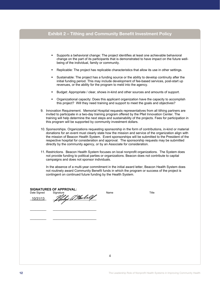|                                                                        | <b>Exhibit 2 - Tithing and Community Benefit Investment Policy</b>                                                                                                                                                                                                                                                                                                                                                                                                                                |      |                                                                                                                                                                                                                                                                                                                      |  |  |  |  |  |  |
|------------------------------------------------------------------------|---------------------------------------------------------------------------------------------------------------------------------------------------------------------------------------------------------------------------------------------------------------------------------------------------------------------------------------------------------------------------------------------------------------------------------------------------------------------------------------------------|------|----------------------------------------------------------------------------------------------------------------------------------------------------------------------------------------------------------------------------------------------------------------------------------------------------------------------|--|--|--|--|--|--|
|                                                                        |                                                                                                                                                                                                                                                                                                                                                                                                                                                                                                   |      |                                                                                                                                                                                                                                                                                                                      |  |  |  |  |  |  |
| Ξ                                                                      | being of the individual, family or community.                                                                                                                                                                                                                                                                                                                                                                                                                                                     |      | Supports a behavioral change: The project identifies at least one achievable behavioral<br>change on the part of its participants that is demonstrated to have impact on the future well-                                                                                                                            |  |  |  |  |  |  |
| ٠                                                                      | Replicable: The project has replicable characteristics that allow its use in other settings.                                                                                                                                                                                                                                                                                                                                                                                                      |      |                                                                                                                                                                                                                                                                                                                      |  |  |  |  |  |  |
| ٠                                                                      | Sustainable: The project has a funding source or the ability to develop continuity after the<br>initial funding period. This may include development of fee-based services, post-start up<br>revenues, or the ability for the program to meld into the agency.                                                                                                                                                                                                                                    |      |                                                                                                                                                                                                                                                                                                                      |  |  |  |  |  |  |
| ٠                                                                      |                                                                                                                                                                                                                                                                                                                                                                                                                                                                                                   |      | Budget: Appropriate / clear, shows in-kind and other sources and amounts of support.                                                                                                                                                                                                                                 |  |  |  |  |  |  |
| ٠                                                                      | this project? Will they need training and support to meet the goals and objectives?                                                                                                                                                                                                                                                                                                                                                                                                               |      | Organizational capacity: Does this applicant organization have the capacity to accomplish                                                                                                                                                                                                                            |  |  |  |  |  |  |
|                                                                        | this program will be supported by community investment dollars.                                                                                                                                                                                                                                                                                                                                                                                                                                   |      | 9. Innovation Requirement. Memorial Hospital requests representatives from all tithing partners are<br>invited to participate in a two-day training program offered by the Pfeil Innovation Center. The<br>training will help determine the next steps and sustainability of the projects. Fees for participation in |  |  |  |  |  |  |
|                                                                        | 10. Sponsorships. Organizations requesting sponsorship in the form of contributions, in-kind or material<br>donations for an event must clearly state how the mission and service of the organization align with<br>the mission of Beacon Health System. Event sponsorships will be submitted to the President of the<br>respective hospital for consideration and approval. The sponsorship requests may be submitted<br>directly by the community agency, or by an Associate for consideration. |      |                                                                                                                                                                                                                                                                                                                      |  |  |  |  |  |  |
|                                                                        | campaigns and does not sponsor individuals.                                                                                                                                                                                                                                                                                                                                                                                                                                                       |      | 11. Restrictions. Beacon Health System focuses on local nonprofit organizations. The System does<br>not provide funding to political parties or organizations. Beacon does not contribute to capital                                                                                                                 |  |  |  |  |  |  |
|                                                                        | contingent on continued future funding by the Health System.                                                                                                                                                                                                                                                                                                                                                                                                                                      |      | In the absence of a multi-year commitment in the initial award letter, Beacon Health System does<br>not routinely award Community Benefit funds in which the program or success of the project is                                                                                                                    |  |  |  |  |  |  |
|                                                                        |                                                                                                                                                                                                                                                                                                                                                                                                                                                                                                   |      |                                                                                                                                                                                                                                                                                                                      |  |  |  |  |  |  |
| <b>SIGNATURES OF APPROVAL:</b><br>Date Signed<br>Signature<br>10/31/13 |                                                                                                                                                                                                                                                                                                                                                                                                                                                                                                   | Name | Title                                                                                                                                                                                                                                                                                                                |  |  |  |  |  |  |
|                                                                        |                                                                                                                                                                                                                                                                                                                                                                                                                                                                                                   |      |                                                                                                                                                                                                                                                                                                                      |  |  |  |  |  |  |
|                                                                        |                                                                                                                                                                                                                                                                                                                                                                                                                                                                                                   |      |                                                                                                                                                                                                                                                                                                                      |  |  |  |  |  |  |
|                                                                        |                                                                                                                                                                                                                                                                                                                                                                                                                                                                                                   |      |                                                                                                                                                                                                                                                                                                                      |  |  |  |  |  |  |
|                                                                        |                                                                                                                                                                                                                                                                                                                                                                                                                                                                                                   |      |                                                                                                                                                                                                                                                                                                                      |  |  |  |  |  |  |
|                                                                        |                                                                                                                                                                                                                                                                                                                                                                                                                                                                                                   |      |                                                                                                                                                                                                                                                                                                                      |  |  |  |  |  |  |
|                                                                        |                                                                                                                                                                                                                                                                                                                                                                                                                                                                                                   | 4    |                                                                                                                                                                                                                                                                                                                      |  |  |  |  |  |  |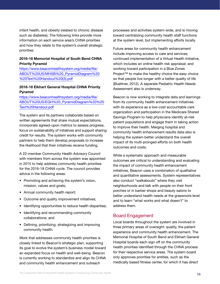infant health, and obesity (related to chronic disease such as diabetes). The following links provide more information on each service area's CHNA priorities and how they relate to the system's overall strategic priorities:

#### 2016-18 Memorial Hospital of South Bend CHNA Priority Pyramid

[https://www.beaconhealthsystem.org/media/file/](https://www.beaconhealthsystem.org/media/file/ABOUT%20US/MHSB%20_PyramidDiagram%20%20Text%20Handout%20(3).pdf) [ABOUT%20US/MHSB%20\\_PyramidDiagram%20](https://www.beaconhealthsystem.org/media/file/ABOUT%20US/MHSB%20_PyramidDiagram%20%20Text%20Handout%20(3).pdf) [%20Text%20Handout%20\(3\).pdf](https://www.beaconhealthsystem.org/media/file/ABOUT%20US/MHSB%20_PyramidDiagram%20%20Text%20Handout%20(3).pdf)

### 2016-18 Elkhart General Hospital CHNA Priority Pyramid

[https://www.beaconhealthsystem.org/media/file/](https://www.beaconhealthsystem.org/media/file/ABOUT%20US/EGH%20_PyramidDiagram%20%20Text%20Handout.pdf) [ABOUT%20US/EGH%20\\_PyramidDiagram%20%20](https://www.beaconhealthsystem.org/media/file/ABOUT%20US/EGH%20_PyramidDiagram%20%20Text%20Handout.pdf) [Text%20Handout.pdf](https://www.beaconhealthsystem.org/media/file/ABOUT%20US/EGH%20_PyramidDiagram%20%20Text%20Handout.pdf)

The system and its partners collaborate based on written agreements that share mutual expectations, incorporate agreed-upon metrics to assess progress, focus on sustainability of initiatives and support sharing credit for results. The system works with community partners to help them develop proposals to increase the likelihood that their initiatives receive funding.

A 22-member Community Health Advisory Council with members from across the system was appointed in 2015 to help address community health priorities for the 2016-18 CHNA cycle. The council provides advice in the following areas:

- Promoting and achieving the system's vision, mission, values and goals;
- Annual community health report;
- Outcome and quality improvement initiatives;
- Identifying opportunities to reduce health disparities;
- Identifying and recommending community collaborations; and
- Defining, prioritizing, strategizing and improving community health.

Work that addresses community health priorities is closely linked to Beacon's strategic plan, supporting its goal to evolve the system's business model toward an expanded focus on health and well-being. Beacon is currently working to standardize and align its CHNA and community health enhancement and outreach

processes and activities system-wide, and is moving toward centralizing community health staff functions at the system level, but implementing efforts locally.

Future areas for community health enhancement include improving access to care and services; continued implementation of a Virtual Health Initiative, which includes an online health risk appraisal; and working toward participation in a Blue Zones Project™ to make the healthy choice the easy choice so that people live longer with a better quality of life (Buettner, 2012). A separate Pediatric Health Needs Assessment also is underway.

Beacon is now working to integrate data and learnings from its community health enhancement initiatives with its experience as a low-cost accountable care organization and participation in the Medicare Shared Savings Program to help physicians identify at-risk patient populations and engage them in taking action to improve their health. Merging hospital and community health enhancement results data also is helping the system better understand the overall impact of its multi-pronged efforts on both health outcomes and costs.

While a systematic approach and measurable outcomes are critical to understanding and evaluating the impact of community health enhancement initiatives, Beacon uses a combination of qualitative and quantitative assessments. System representatives also conduct "walkabouts" where they visit neighborhoods and talk with people on their front porches or in barber shops and beauty salons to better understand health needs at the grassroots level and to learn "what works and what doesn't" to address them.

### Board Engagement

Local boards throughout the system are involved in three primary areas of oversight: quality, the patient experience and community health enhancement. The Memorial Hospital of South Bend and Elkhart General Hospital boards each sign off on the community health priorities identified through the CHNA process for their respective service areas. The system board only approves priorities for entities, such as the medically based fitness center, for which it has direct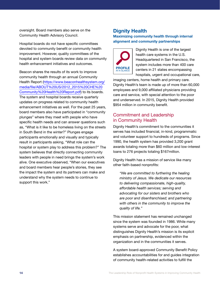oversight. Board members also serve on the Community Health Advisory Council.

Hospital boards do not have specific committees devoted to community benefit or community health improvement. However, quality committees of the hospital and system boards review data on community health enhancement initiatives and outcomes.

Beacon shares the results of its work to improve community health through an annual Community Health Report [\(https://www.beaconhealthsystem.org/](https://www.beaconhealthsystem.org/media/file/ABOUT%20US/2012_2015%20CHE%20Community%20Health%20Report.pdf) [media/file/ABOUT%20US/2012\\_2015%20CHE%20](https://www.beaconhealthsystem.org/media/file/ABOUT%20US/2012_2015%20CHE%20Community%20Health%20Report.pdf) [Community%20Health%20Report.pdf\)](https://www.beaconhealthsystem.org/media/file/ABOUT%20US/2012_2015%20CHE%20Community%20Health%20Report.pdf) to its boards. The system and hospital boards receive quarterly updates on progress related to community health enhancement initiatives as well. For the past 25 years, board members also have participated in "community plunges" where they meet with people who have specific health needs and can answer questions such as, "What is it like to be homeless living on the streets in South Bend in the winter?" Plunges engage participants emotionally and visually and typically result in participants asking, "What role can the hospital or system play to address this problem?" The system believes that directly connecting community leaders with people in need brings the system's work alive. One executive observed, "When our executives and board members hear people's stories, they see the impact the system and its partners can make and understand why the system needs to continue to support this work."

### Dignity Health

### Maximizing community health through internal alignment and community partnerships



Dignity Health is one of the largest health care systems in the U.S. Headquartered in San Francisco, the system includes more than 400 care centers in 21 states encompassing hospitals, urgent and occupational care,

imaging centers, home health and primary care. Dignity Health's team is made up of more than 60,000 employees and 9,000 affiliated physicians providing care and service, with special attention to the poor and underserved. In 2015, Dignity Health provided \$954 million in community benefit.

### Commitment and Leadership in Community Health

Dignity Health's commitment to the communities it serves has included financial, in-kind, programmatic and volunteer support to hundreds of programs. Since 1990, the health system has provided 3,200 grant awards totaling more than \$60 million and low-interest loans to 276 projects totaling \$167million.

Dignity Health has a mission of service like many other faith-based nonprofits:

*"We are committed to furthering the healing ministry of Jesus. We dedicate our resources to delivering compassionate, high-quality, affordable health services; serving and advocating for our sisters and brothers who are poor and disenfranchised; and partnering with others in the community to improve the quality of life."*

This mission statement has remained unchanged since the system was founded in 1986. While many systems serve and advocate for the poor, what distinguishes Dignity Health's mission is its explicit emphasis on partnership, evidenced within the organization and in the communities it serves.

A system board-approved Community Benefit Policy establishes accountabilities for and guides integration of community health-related activities to fulfill the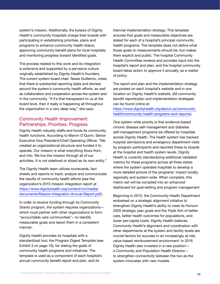system's mission. Additionally, the bylaws of Dignity Health's community hospitals charge their boards with participating in establishing priorities, plans and programs to enhance community health status; approving community benefit plans for local hospitals; and monitoring progress toward identified goals.

The process related to this work and its integration is extensive and supported by a pervasive culture originally established by Dignity Health's founders. The current system board chair, Tessie Guillermo, notes that there is substantial reporting (data and stories) around the system's community health efforts, as well as collaboration and cooperation across the system and in the community. "If it's that transparent to us at the board level, then it really is happening all throughout the organization in a very deep way," she says.

### Community Health Improvement: Partnerships, Priorities, Progress

Dignity Health robustly staffs and funds its community health functions. According to Marvin O'Quinn, Senior Executive Vice President/Chief Operating Officer, "We created an organizational structure and funded it to operate. Our mission is what everything flows from, and into. We live the mission through all of our activities. It is not sidelined or siloed as its own entity."

The Dignity Health team utilizes scorecards, fact sheets and reports to track, analyze and communicate the results of community health efforts (see the organization's 2015 mission integration report at [https://www.dignityhealth.org/content/cm/media/](https://www.dignityhealth.org/content/cm/media/documents/Mission-Integration-Annual-Report.pdf) [documents/Mission-Integration-Annual-Report.pdf](https://www.dignityhealth.org/content/cm/media/documents/Mission-Integration-Annual-Report.pdf)).

In order to receive funding through its Community Grants program, the system requires organizations which must partner with other organizations to form "accountable care communities"—to identify measurable goals and report them in a consistent manner.

Dignity Health provides its hospitals with a standardized tool, the Program Digest Template (see Exhibit 3 on page 16), for stating the goals of community health programs and initiatives. The template is used as a component of each hospital's annual community benefit report and plan, and its

triennial implementation strategy. This template ensures that goals and measurable objectives are stated for each of a hospital's principal community health programs. The template does not define what those goals or measurements should be, but makes them explicit and public. The hospital Community Health Committee reviews and provides input into the hospital's report and plan, and the hospital community board takes action to approve it annually, as a matter of policy.

The report and plan and the implementation strategy are posted on each hospital's website and in one location on Dignity Health's website. (All community benefit reports/plan and implementation strategies can be found online at:

[https://www.dignityhealth.org/about-us/community](https://www.dignityhealth.org/about-us/community-health/community-health-programs-and-reports)[health/community-health-programs-and-reports\)](https://www.dignityhealth.org/about-us/community-health/community-health-programs-and-reports).

One system-wide priority is that evidence-based chronic disease self-management and diabetes self-management programs be offered by hospitals across Dignity Health. The health system has tracked hospital admissions and emergency department visits by program participants and reported these to boards at the hospital and health system levels. Dignity Health is currently standardizing additional validated metrics for these programs across all three states where the system operates hospitals to develop a more detailed picture of the programs' impact locally, regionally and system-wide. When complete, this metric-set will be compiled into an enhanced dashboard for goal-setting and program management.

Beginning in 2015, the Community Health Department embarked on a strategic alignment initiative to strengthen Dignity Health's ability to meet its Horizon 2020 strategic plan goals and the Triple Aim of better care, better health outcomes for populations, and lower per-capita costs. Dignity Health believes Community Health's alignment and coordination with other departments at the system and facility levels are crucial factors for success in an increasingly at-risk, value-based reimbursement environment. In 2016 Dignity Health also invested in a new position a Community and Population Health Director to strengthen connectivity between the two as the system innovates with new models.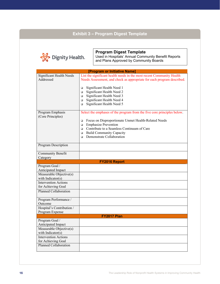### Exhibit 3 – Program Digest Template



**Program Digest Template** Used in Hospitals' Annual Community Benefit Reports

and Plans Approved by Community Boards

| [Program or Initiative Name]                       |                                                                                                         |  |  |  |  |  |
|----------------------------------------------------|---------------------------------------------------------------------------------------------------------|--|--|--|--|--|
| Significant Health Needs                           | List the significant health needs in the most recent Community Health                                   |  |  |  |  |  |
| Addressed                                          | Needs Assessment, and check as appropriate for each program described.                                  |  |  |  |  |  |
|                                                    |                                                                                                         |  |  |  |  |  |
|                                                    | Significant Health Need 1<br>$\Box$                                                                     |  |  |  |  |  |
|                                                    | Significant Health Need 2<br>$\Box$                                                                     |  |  |  |  |  |
|                                                    | Significant Health Need 3<br>$\Box$                                                                     |  |  |  |  |  |
|                                                    | Significant Health Need 4<br>$\Box$                                                                     |  |  |  |  |  |
|                                                    | Significant Health Need 5<br>$\Box$                                                                     |  |  |  |  |  |
|                                                    |                                                                                                         |  |  |  |  |  |
| Program Emphasis                                   | Select the emphases of the program from the five core principles below.                                 |  |  |  |  |  |
| (Core Principles)                                  |                                                                                                         |  |  |  |  |  |
|                                                    | Focus on Disproportionate Unmet Health-Related Needs<br>$\Box$<br><b>Emphasize Prevention</b><br>$\Box$ |  |  |  |  |  |
|                                                    | Contribute to a Seamless Continuum of Care                                                              |  |  |  |  |  |
|                                                    | $\Box$<br><b>Build Community Capacity</b><br>O.                                                         |  |  |  |  |  |
|                                                    | Demonstrate Collaboration<br>$\Box$                                                                     |  |  |  |  |  |
|                                                    |                                                                                                         |  |  |  |  |  |
| <b>Program Description</b>                         |                                                                                                         |  |  |  |  |  |
|                                                    |                                                                                                         |  |  |  |  |  |
| Community Benefit                                  |                                                                                                         |  |  |  |  |  |
| Category                                           |                                                                                                         |  |  |  |  |  |
|                                                    | <b>FY2016 Report</b>                                                                                    |  |  |  |  |  |
| Program Goal /                                     |                                                                                                         |  |  |  |  |  |
| Anticipated Impact                                 |                                                                                                         |  |  |  |  |  |
| Measurable Objective(s)                            |                                                                                                         |  |  |  |  |  |
| with Indicator(s)                                  |                                                                                                         |  |  |  |  |  |
| <b>Intervention Actions</b>                        |                                                                                                         |  |  |  |  |  |
| for Achieving Goal                                 |                                                                                                         |  |  |  |  |  |
| <b>Planned Collaboration</b>                       |                                                                                                         |  |  |  |  |  |
|                                                    |                                                                                                         |  |  |  |  |  |
| Program Performance /                              |                                                                                                         |  |  |  |  |  |
| Outcome                                            |                                                                                                         |  |  |  |  |  |
| Hospital's Contribution /                          |                                                                                                         |  |  |  |  |  |
| Program Expense                                    |                                                                                                         |  |  |  |  |  |
|                                                    | FY2017 Plan                                                                                             |  |  |  |  |  |
| Program Goal /                                     |                                                                                                         |  |  |  |  |  |
| Anticipated Impact                                 |                                                                                                         |  |  |  |  |  |
| Measurable Objective(s)                            |                                                                                                         |  |  |  |  |  |
| with Indicator(s)<br><b>Intervention Actions</b>   |                                                                                                         |  |  |  |  |  |
|                                                    |                                                                                                         |  |  |  |  |  |
| for Achieving Goal<br><b>Planned Collaboration</b> |                                                                                                         |  |  |  |  |  |
|                                                    |                                                                                                         |  |  |  |  |  |
|                                                    |                                                                                                         |  |  |  |  |  |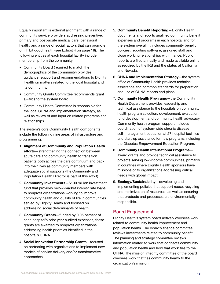Equally important is external alignment with a range of community service providers addressing preventive, primary and post-acute medical care; behavioral health; and a range of social factors that can promote or inhibit good health (see Exhibit 4 on page 18). The following entities at each hospital facility include membership from the community:

- Community Board (required to match the demographics of the community) provides guidance, support and recommendations to Dignity Health on matters related to the local hospital and its community.
- Community Grants Committee recommends grant awards to the system board.
- Community Health Committee is responsible for the local CHNA and implementation strategy, as well as review of and input on related programs and relationships.

The system's core Community Health components include the following nine areas of infrastructure and programming:

- 1. Alignment of Community and Population Health efforts—strengthening the connection between acute care and community health to transition patients both across the care continuum and back into their lives as community members with adequate social supports (the Community and Population Health Director is part of this effort).
- 2. Community Investments—\$100 million investment fund that provides below-market interest rate loans to nonprofit organizations working to improve community health and quality of life in communities served by Dignity Health and focused on addressing social determinants of health.
- 3. Community Grants—funded by 0.05 percent of each hospital's prior year audited expenses, these grants are awarded to nonprofit organizations addressing health priorities identified in the hospital's CHNA.
- 4. Social Innovation Partnership Grants—focused on partnering with organizations to implement new models of service delivery and/or transformative approaches.
- 5. Community Benefit Reporting—Dignity Health documents and reports qualified community benefit expenses and programs in each hospital and for the system overall. It includes community benefit policies, reporting software, assigned staff and close working relationships with finance. Public reports are filed annually and made available online, as required by the IRS and the states of California and Nevada.
- 6. CHNA and Implementation Strategy—the system office of Community Health provides technical assistance and common standards for preparation and use of CHNA reports and plans.
- 7. Community Health Programs—the Community Health Department provides leadership and technical assistance to the hospitals on community health program selection, development, evaluation, fund development and community health advocacy. Community health program support includes coordination of system-wide chronic disease self-management education at 27 hospital facilities and start-up assistance for new programs including the Diabetes Empowerment Education Program.
- 8. Community Health International Programs award grants and provide technical assistance to projects serving low-income communities, primarily in countries where Dignity Health sponsors have missions or to organizations addressing critical needs with global impact.
- 9. Ecology/Sustainability-developing and implementing policies that support reuse, recycling and minimization of resources, as well as ensuring that products and processes are environmentally responsible.

### Board Engagement

Dignity Health's system board actively oversees work related to community health improvement and population health. The board's finance committee reviews investments related to community benefit. The planning and strategy committee reviews information related to work that connects community and population health and how that work ties to the CHNA. The mission integrity committee of the board oversees work that ties community health to the organization's mission.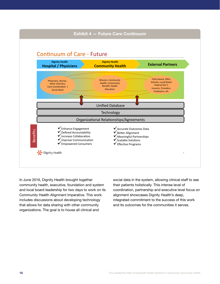

In June 2016, Dignity Health brought together community health, executive, foundation and system and local board leadership for two days to work on its Community Health Alignment Imperative. This work includes discussions about developing technology that allows for data sharing with other community organizations. The goal is to house all clinical and

social data in the system, allowing clinical staff to see their patients holistically. This intense level of coordination, partnership and executive level focus on alignment showcases Dignity Health's deep, integrated commitment to the success of this work and its outcomes for the communities it serves.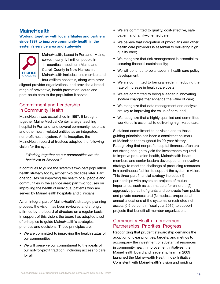### **MaineHealth**

Working together with local affiliates and partners since 1997 to improve community health in the system's service area and statewide



MaineHealth, based in Portland, Maine, serves nearly 1.1 million people in 11 counties in southern Maine and Carroll County in New Hampshire. MaineHealth includes nine member and four affiliate hospitals, along with other

aligned provider organizations, and provides a broad range of preventive, health promotion, acute and post-acute care to the population it serves.

### Commitment and Leadership in Community Health

MaineHealth was established in 1997. It brought together Maine Medical Center, a large teaching hospital in Portland, and several community hospitals and other health-related entities as an integrated, nonprofit health system. At its inception, the MaineHealth board of trustees adopted the following vision for the system:

*"Working together so our communities are the healthiest in America."*

It continues to guide the system's two-part population health strategy today, almost two decades later. Part one focuses on improving the health of all people and communities in the service area; part two focuses on improving the health of individual patients who are served by MaineHealth hospitals and clinicians.

As an integral part of MaineHealth's strategic planning process, the vision has been reviewed and strongly affirmed by the board of directors on a regular basis. In support of this vision, the board has adopted a set of principles to guide MaineHealth's strategies, priorities and decisions. These principles are:

- We are committed to improving the health status of our communities;
- We will preserve our commitment to the ideals of our not-for-profit tradition, including access to care for all;
- We are committed to quality, cost-effective, safe patient and family-oriented care;
- We believe that integration of physicians and other health care providers is essential to delivering high quality care;
- We recognize that risk management is essential to assuring financial sustainability;
- We will continue to be a leader in health care policy development;
- We are committed to being a leader in reducing the rate of increase in health care costs;
- We are committed to being a leader in innovating system changes that enhance the value of care;
- We recognize that data management and analysis are key to improving the value of care; and
- We recognize that a highly qualified and committed workforce is essential to delivering high-value care.

Sustained commitment to its vision and to these guiding principles has been a consistent hallmark of MaineHealth throughout its 20-year history. Recognizing that nonprofit hospital finances often are not strong enough to yield the investments required to improve population health, MaineHealth board members and senior leaders developed an innovative strategy to meet the challenge of producing resources in a continuous fashion to support the system's vision. This three-part financial strategy includes (1) partnerships with payers on projects of mutual importance, such as asthma care for children; (2) aggressive pursuit of grants and contracts from public and private sources; and (3) modest, proportional annual allocations of the system's unrestricted net assets (0.5 percent in fiscal year 2015) to support projects that benefit all member organizations.

### Community Health Improvement: Partnerships, Priorities, Progress

Recognizing that prudent stewardship demands the adoption of clear priorities, targets, and metrics to accompany the investment of substantial resources in community health improvement initiatives, the MaineHealth board and leadership team in 2009 launched the MaineHealth Health Index Initiative. Consistent with MaineHealth's vision and guiding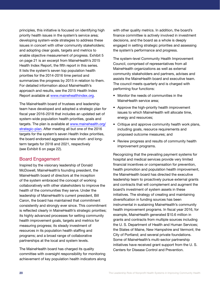principles, this initiative is focused on identifying high priority health issues in the system's service area; developing system-wide strategies to address these issues in concert with other community stakeholders; and adopting clear goals, targets and metrics to enable objective measurement of progress. Exhibit 5 on page 21 is an excerpt from MaineHealth's 2015 Health Index Report, the fifth report in this series. It lists the system's seven top population health priorities for the 2014-2016 time period and summarizes the progress by 2015 in relation to them. For detailed information about MaineHealth's approach and results, see the 2015 Health Index Report available at [www.mainehealthindex.org](http://www.mainehealthindex.org).

The MaineHealth board of trustees and leadership team have developed and adopted a strategic plan for fiscal year 2016-2018 that includes an updated set of system-wide population health priorities, goals and targets. The plan is available at [www.mainehealth.org/](http://www.mainehealth.org/strategic-plan) [strategic-plan.](http://www.mainehealth.org/strategic-plan) After meeting all but one of the 2016 targets for the system's seven Health Index priorities, the board endorsed aggressive new short- and longterm targets for 2018 and 2021, respectively (see Exhibit 6 on page 22).

### Board Engagement

Inspired by the visionary leadership of Donald McDowell, MaineHealth's founding president, the MaineHealth board of directors at the inception of the system embraced the concept of working collaboratively with other stakeholders to improve the health of the communities they serve. Under the leadership of MaineHealth's current president, Bill Caron, the board has maintained that commitment consistently and strongly ever since. This commitment is reflected clearly in MaineHealth's strategic priorities; its highly advanced processes for setting community health improvement goals, targets and metrics for measuring progress; its steady investment of resources in its population health staffing and programs; and a broad range of collaborative partnerships at the local and system levels.

The MaineHealth board has charged its quality committee with oversight responsibility for monitoring achievement of key population health indicators along with other quality metrics. In addition, the board's finance committee is actively involved in investment decisions, and the board as a whole is deeply engaged in setting strategic priorities and assessing the system's performance and progress.

The system-level Community Health Improvement Council, comprised of representatives from all MaineHealth organizations as well as external community stakeholders and partners, advises and assists the MaineHealth board and executive team. The council meets quarterly and is charged with performing four functions:

- Monitor the needs of communities in the MaineHealth service area;
- Approve the high-priority health improvement issues to which MaineHealth will allocate time, energy and resources;
- Critique and approve community health work plans, including goals, resource requirements and proposed outcome measures; and
- Review progress and results of community health improvement programs.

Recognizing that the prevailing payment systems for hospital and medical services provide very limited financial incentives or compensation for prevention, health promotion and population health improvement, the MaineHealth board has directed the executive leadership team to proactively pursue external grants and contracts that will complement and augment the board's investment of system assets in these initiatives. The strategy of creating and maintaining diversification in funding sources has been instrumental in sustaining MaineHealth's community health improvement programs. In fiscal year 2016, for example, MaineHealth generated \$10.6 million in grants and contracts from multiple sources including the U. S. Department of Health and Human Services; the States of Maine, New Hampshire and Vermont; the City of Portland; and several private foundations. Some of MaineHealth's multi-sector partnership initiatives have received grant support from the U. S. Centers for Disease Control and Prevention.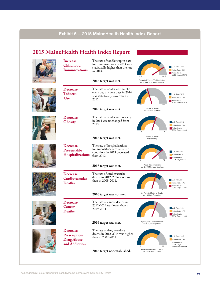### Exhibit 5 —2015 MaineHealth Health Index Report

### **2015 MaineHealth Health Index Report**

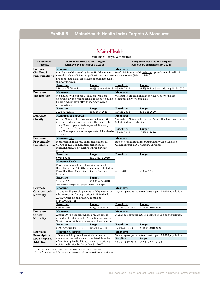### Exhibit 6 — MaineHealth Health Index Targets & Measures

### MaineHealth

|                                    |                                                                                                                                                                   | Health Index Targets & Measures |                                                                                                                                              |                                                             |  |  |  |
|------------------------------------|-------------------------------------------------------------------------------------------------------------------------------------------------------------------|---------------------------------|----------------------------------------------------------------------------------------------------------------------------------------------|-------------------------------------------------------------|--|--|--|
| <b>Health Index</b><br>Priority    | <b>Short-term Measure and Target*</b><br>(Achieve by September 30, 2018)                                                                                          |                                 | Long-term Measure and Target**<br>(Achieve by September 30, 2021)                                                                            |                                                             |  |  |  |
| <b>Increase</b>                    | <b>Measure:</b>                                                                                                                                                   |                                 | <b>Measure:</b>                                                                                                                              |                                                             |  |  |  |
| Childhood<br><b>Immunizations</b>  | % of 2-year-olds served by MaineHealth member-<br>are up-to-date on all ten vaccines recommended by<br>their 2 <sup>nd</sup> birthday                             |                                 | % of 19-35-month-olds in Maine up-to-date for bundle of<br>owned family medicine and pediatric practices who seven vaccines (4:3:1:3*:3:1:4) |                                                             |  |  |  |
|                                    | Baseline:                                                                                                                                                         | Target:                         | Baseline:                                                                                                                                    | <u>Target:</u>                                              |  |  |  |
|                                    | 57% as of 9/30/15                                                                                                                                                 | ≥60% as of 9/30/18              | 85% in 2014                                                                                                                                  | ≥85% in 3 of 6 years during 2015-2020                       |  |  |  |
| <b>Decrease</b>                    | Measure:                                                                                                                                                          |                                 | Measure:                                                                                                                                     |                                                             |  |  |  |
| <b>Tobacco Use</b>                 | # of adults with tobacco dependence who are<br>electronically referred to Maine Tobacco HelpLine<br>by providers in MaineHealth member-owned<br>organizations     |                                 | cigarettes daily or some days                                                                                                                | % adults in the MaineHealth Service Area who smoke          |  |  |  |
|                                    | Baseline:                                                                                                                                                         | <u>Target:</u>                  | Baseline:                                                                                                                                    | <u>Target:</u>                                              |  |  |  |
|                                    | 2228 in FY2015                                                                                                                                                    | 4000 in FY2018                  | 18% in 2014                                                                                                                                  | ≤14% in 2020                                                |  |  |  |
| <b>Decrease</b>                    | <b>Measures &amp; Targets:</b>                                                                                                                                    |                                 | Measure:                                                                                                                                     |                                                             |  |  |  |
| <b>Obesity</b>                     | Among MaineHealth member-owned family &<br>internal medicine practices using the Epic EHR:<br>$\approx$ ≥80% completed training on adult obesity                  |                                 | $\geq$ 30.0 (indicating obesity)                                                                                                             | % adults in MaineHealth Service Area with a body mass index |  |  |  |
|                                    | Standard of Care, and                                                                                                                                             |                                 | Baseline:                                                                                                                                    | <u>Target:</u>                                              |  |  |  |
|                                    | ■ ≥50% implemented components of Standard of                                                                                                                      |                                 | 28% in 2014                                                                                                                                  | ≤26% in 2020                                                |  |  |  |
|                                    | Care                                                                                                                                                              |                                 |                                                                                                                                              |                                                             |  |  |  |
| <b>Decrease</b>                    | <b>Measure ONE:</b>                                                                                                                                               |                                 | Measure:                                                                                                                                     |                                                             |  |  |  |
| Preventable                        | Most recent annual rate of hospitalizations for                                                                                                                   |                                 |                                                                                                                                              | Rate of hospitalizations for Ambulatory Care-Sensitive      |  |  |  |
| <b>Hospitalizations</b>            | COPD per 1,000 beneficiaries attributed to<br>MaineHealth ACO's Medicare Shared Savings<br>Program                                                                |                                 | Conditions per 1,000 Medicare enrollees                                                                                                      |                                                             |  |  |  |
|                                    | <b>Baseline:</b>                                                                                                                                                  | <u>Target:</u>                  | <b>Baseline:</b>                                                                                                                             | <u>Target:</u>                                              |  |  |  |
|                                    | 8.9 in FY2015                                                                                                                                                     | ≤8.31^ in FY 2018               |                                                                                                                                              |                                                             |  |  |  |
|                                    | <b>Measure <u>TWO</u>:</b>                                                                                                                                        |                                 |                                                                                                                                              |                                                             |  |  |  |
|                                    | Most recent annual rate of hospitalizations for<br>Heart Failure per 1,000 beneficiaries attributed to<br>MaineHealth ACO's Medicare Shared Savings<br>Program    |                                 | 45 in 2013                                                                                                                                   | ≤30 in 2019                                                 |  |  |  |
|                                    | <b>Baseline:</b>                                                                                                                                                  | <u>Target:</u>                  |                                                                                                                                              |                                                             |  |  |  |
|                                    | 12.6 in FY2015                                                                                                                                                    | ≤10.0^ in FY 2018               |                                                                                                                                              |                                                             |  |  |  |
|                                    | 90 <sup>th</sup> percentile among all MSSP programs in the Q1, 2016 report                                                                                        |                                 |                                                                                                                                              |                                                             |  |  |  |
| <b>Decrease</b>                    | <b>Measure:</b>                                                                                                                                                   |                                 | Measure:                                                                                                                                     |                                                             |  |  |  |
| Cardiovascular<br><b>Mortality</b> | Among 18-85 year old patients with hypertension<br>who were cared for by practices in MaineHealth<br>ACOs, % with blood pressure in control<br>$($ < 140/90mm Hg) |                                 | 3-year, age-adjusted rate of deaths per 100,000 population                                                                                   |                                                             |  |  |  |
|                                    | Baseline:                                                                                                                                                         | Target:                         | <b>Baseline:</b>                                                                                                                             | Target:                                                     |  |  |  |
|                                    | 68% in 2015                                                                                                                                                       | ≥72% in FY2018                  | 185 in 2012-2014                                                                                                                             | ≤155 in 2018-2020                                           |  |  |  |
| <b>Decrease</b>                    | <b>Measure:</b>                                                                                                                                                   |                                 | <b>Measure:</b>                                                                                                                              |                                                             |  |  |  |
| Cancer                             | Among 50-75 year olds whose primary care is                                                                                                                       |                                 |                                                                                                                                              | 3-year, age-adjusted rate of deaths per 100,000 population  |  |  |  |
| <b>Mortality</b>                   | provided at a MaineHealth ACO affiliated practice,                                                                                                                |                                 |                                                                                                                                              |                                                             |  |  |  |
|                                    | % with appropriate screening for colorectal cancer                                                                                                                |                                 |                                                                                                                                              |                                                             |  |  |  |
|                                    | Baseline:                                                                                                                                                         | Target:                         | Baseline:                                                                                                                                    | Target:                                                     |  |  |  |
|                                    | 62%, measured in 10/2015 80% in FY2018                                                                                                                            |                                 | 172 in 2012-2014                                                                                                                             | ≤146 in 2018-2020                                           |  |  |  |
| <b>Decrease</b>                    | <b>Measure &amp; Target:</b>                                                                                                                                      |                                 | <b>Measure:</b>                                                                                                                              |                                                             |  |  |  |
| Prescription                       | 100% of opioid prescribers at MaineHealth                                                                                                                         |                                 | 3-year, age-adjusted rate of deaths per 100,000 population                                                                                   |                                                             |  |  |  |
| Drug Abuse &                       | member organizations who completed three hours                                                                                                                    |                                 | <b>Baseline:</b>                                                                                                                             | Target:                                                     |  |  |  |
| <b>Addiction</b>                   | of Continuing Medical Education on prescribing                                                                                                                    |                                 | 14.2 in 2012-2014                                                                                                                            | ≤12.0 in 2018-2020                                          |  |  |  |
|                                    | opioid medication by December 31, 2017                                                                                                                            |                                 |                                                                                                                                              |                                                             |  |  |  |

\*Short Term Measures & Targets - Data available from MaineHealth Sources<br>\*\* Long Term Measures & Targets are more aggressive & based on national and state dat<mark>a</mark>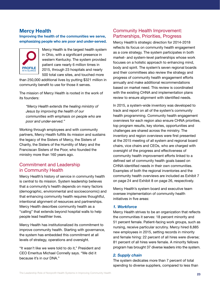### Mercy Health

Improving the health of the communities we serve, emphasizing people who are poor and under-served.



Mercy Health is the largest health system in Ohio, with a significant presence in western Kentucky. The system provided patient care nearly 6 million times in 2015, through 23 hospitals and nearly 500 total care sites, and touched more

than 250,000 additional lives by putting \$321 million in community benefit to use for those it serves.

The mission of Mercy Health is rooted in the work of its founders:

*"Mercy Health extends the healing ministry of Jesus by improving the health of our communities with emphasis on people who are poor and under-served."*

Working through employees and with community partners, Mercy Health fulfills its mission and sustains the legacy of the Sisters of Mercy, the Sisters of Charity, the Sisters of the Humility of Mary and the Franciscan Sisters of the Poor, who founded the ministry more than 160 years ago.

### Commitment and Leadership in Community Health

Mercy Health's history of service in community health is central to its mission. System leadership believes that a community's health depends on many factors (demographic, environmental and socioeconomic) and that enhancing community health requires thoughtful, intentional alignment of resources and partnerships. Mercy Health describes community health as a "calling" that extends beyond hospital walls to help people lead healthier lives.

Mercy Health has institutionalized its commitment to improve community health. Starting with governance, the system has embedded this commitment at all levels of strategy, operations and oversight.

"It wasn't like we were told to do it," President and CEO Emeritus Michael Connelly says. "We did it because it's in our DNA."

### Community Health Improvement: Partnerships, Priorities, Progress

Mercy Health's strategic direction for 2014-2018 reflects its focus on community health engagement as a core strategy. The system participates in both market- and system-level partnerships whose work focuses on a holistic approach to enhancing mind, body and spirit. The system's seven regional boards and their committees also review the strategy and progress of community health engagement efforts annually and make additional recommendations based on market need. This review is coordinated with the existing CHNA and implementation plans review to ensure alignment with identified needs.

In 2015, a system-wide inventory was developed to track and report on all of the system's community health programming. Community health engagement overviews for each region also ensure CHNA priorities, top program results, key stories, opportunities and challenges are shared across the ministry. The inventory and region overviews were first presented at the 2015 meeting of all system and regional board chairs, vice chairs and CEOs, who are charged with oversight of the progress and effectiveness of community health improvement efforts linked to a defined set of community health goals based on CHNA-identified needs in their own communities. Examples of both the regional inventories and the community health overviews are included as Exhibit 7 on page 24 and Exhibit 8 on page 26, respectively.

Mercy Health's system board and executive team oversee implementation of community health initiatives in five areas:

#### *1. Workforce*

Mercy Health strives to be an organization that reflects the communities it serves: 18 percent minority and 51 percent female. Patient-facing work groups, such as nursing, receive particular scrutiny. Mercy hired 8,885 new employees in 2015, setting records in minority and female hiring: 22 percent of all hires were diverse; 81 percent of all hires were female. A minority fellows program has brought 37 diverse leaders into the system.

### *2. Supply chain*

The system dedicates more than 7 percent of total spending to diverse suppliers, compared to less than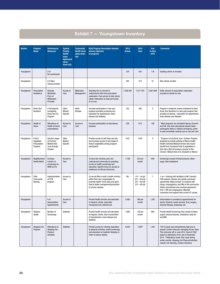### Exhibit 7 — Youngstown Inventory

| <b>Market</b> | Program<br><b>Name</b>                          | <b>Performance</b><br><b>Measures</b>                                  | <b>System</b><br><b>Priority</b><br><b>Health</b><br><b>Issue</b><br><b>Addressed</b><br>(drop-<br>down list) | <b>Community</b><br><b>Health Issue</b><br>(drop-down<br>list) | <b>Brief Program Description (include</b><br>primary objective<br>of program)                                                                                                          | 2014<br><b>Actual</b> | 2015<br>Goal                                                               | Year<br>to date<br>2015 | <b>Comments</b>                                                                                                                                                                                                                                                                                                                              |
|---------------|-------------------------------------------------|------------------------------------------------------------------------|---------------------------------------------------------------------------------------------------------------|----------------------------------------------------------------|----------------------------------------------------------------------------------------------------------------------------------------------------------------------------------------|-----------------------|----------------------------------------------------------------------------|-------------------------|----------------------------------------------------------------------------------------------------------------------------------------------------------------------------------------------------------------------------------------------------------------------------------------------------------------------------------------------|
| Youngstown    |                                                 | # of<br>Re-enrollments                                                 |                                                                                                               |                                                                |                                                                                                                                                                                        | 534                   | 505                                                                        | 116                     | Exisiting clients re-enrolled                                                                                                                                                                                                                                                                                                                |
| Youngstown    |                                                 | # of New<br><b>Clients Enrolled</b>                                    |                                                                                                               |                                                                |                                                                                                                                                                                        | 395                   | 415                                                                        | 61                      | New clients enrolled                                                                                                                                                                                                                                                                                                                         |
| Youngstown    | Prescription<br>Assistance                      | Average<br>Wholesale<br>Price of<br>Medication<br>Provided             | Access to<br>Care                                                                                             | Medication<br>Management                                       | Assisting the un-insured &<br>underinsured with free prescription<br>medication. Free service to help clients<br>obtain medication on long-term basis<br>at no cost.                   | 7,026,404             | 7,377,724                                                                  | 2,067,608               | Dollar amount of prescription medication<br>provided to clients for free                                                                                                                                                                                                                                                                     |
| Youngstown    | Know Your<br><b>Numbers</b>                     | # Participants<br>completing<br>Know Your #s<br>Program                | Other<br>Market<br>Specific                                                                                   | Heart<br><b>Disease</b>                                        | Increase participation in two-part<br>program providing screening and<br>education for hypertension, heart<br>disease and diabetes                                                     | 252                   | 280                                                                        | 0                       | Program is seasonal, events scheduled for April.<br>Know Your Numbers is a two-part program that<br>provides screening + education for hypertension,<br>heart disease and diabetes.                                                                                                                                                          |
| Youngstown    | Health at<br>Home                               | Attendance at<br>Health at Home<br>presentations                       | Access to<br>Care                                                                                             | Access to<br>Care                                              | Increase participation at educational<br>sessions                                                                                                                                      | 559                   | 615                                                                        | 108                     | * Most programs are scheduled Spring, Summer<br>and Fall. One-time educational session helps<br>participants define a medical emergency, when<br>to seek immediate medical care or use self-care.                                                                                                                                            |
| Youngstown    | Fruit &<br>Vegetable<br>Prescription<br>Program | Voucher usage<br>at Farmers'<br>Market held<br>June through<br>October | Other<br>Market<br>Specific                                                                                   |                                                                | Provide access to self-help care tips<br>and increase access to and intake of<br>fruits & vegetables among program<br>participants.                                                    | 0.62                  | 0.69                                                                       | 0                       | * Program is functional June -October. Program<br>designed to provide patients of Mercy Health<br>Patient Centered Medical Homes who would<br>benefit from increased fruits & vegetables in<br>their diet a \$25.00 produce voucher at the<br>Farmers' Market held at St. Elizabeth or Warren                                                |
| Youngstown    | Neighborhood<br><b>Health Watch</b>             | Increase<br>number of<br>screenings for<br>NHW by 2%                   | Access to<br>Care                                                                                             |                                                                | To serve the minority, poor and<br>underserved community by providing<br>access to health screenings and<br>education. Specific focus on access to<br>healthcare for African Americans | 1,798                 | 224 per<br>month                                                           | 646                     | Screenings consist of blood pressure, blood<br>sugar, total cholesterol.                                                                                                                                                                                                                                                                     |
| Youngstown    | Faith<br>Community<br>Nursing                   | Implementation<br>of FCN<br>program                                    | Access to<br>Care                                                                                             |                                                                | To recruit RNs to build a health ministry<br>within their own congregation to<br>promote health: mind, body and spirit.<br>Goal of better management/prevention<br>of chronic disease. | <b>NA</b>             | $1/5 - 1$ st qtr<br>$2/5 - 2nd$ qtr<br>$3/5 - 3$ rd qtr<br>$5/5 - 4th$ qtr | $\mathbf{1}$            | 1-on-1 training with facilitator of Mt. Carmel's<br>FCN program. Review and update convenant<br>agreements. Make at least 12 contacts with<br>clergy, congregations, and RNs in the community.<br>Obtain commitment and covenant agreement<br>from 1 RN and congregation. Maintain<br>connection and support with current FC nurses.         |
| Youngstown    |                                                 | # of<br>Interpretation<br>Appointments                                 | Access to<br>Care                                                                                             |                                                                | Provide health services and education<br>to hispanic clients, especially<br>immigrants and underserved.                                                                                | 3,460                 | 288 per<br>month                                                           | 1,007                   | Interpretation is provided at appointments for<br>doctor, financial, social services, Xray, surgery,<br>physical therapy, endoscopy, etc.                                                                                                                                                                                                    |
| Youngstown    | Hispanic<br>Health                              | Number of<br>Screenings                                                | <b>Diabetes</b>                                                                                               |                                                                | Provide health services and education<br>to hispanic clients. Goal of prevention<br>of hypertentsion, heart disease and<br>diabetes.                                                   | 1,900                 | 158 per<br>month                                                           | 699                     | Provide Health Screenings that consist of blood<br>sugars, blood pressures, cholesterol, body fat<br>and BMI.                                                                                                                                                                                                                                |
| Youngstown    | Stepping Out<br>Program                         | Attendance at<br>Stepping Out<br>Physical<br>Activities                | <b>Diabetes</b>                                                                                               |                                                                | Provide access for minority population<br>to physical activities, health screenings<br>and education on healthier lifestyles in<br>order to reduce obesity.                            | 9,562                 | 7,500*                                                                     | 1,591                   | *2014 actual was extraordinarily high due to<br>popular Zumba instructor averaging 45 per class.<br>This instructor left in June 2014, Goal of 7500<br>based on attendance from July to December<br>2014. ** Attendance lower than usual during<br>winter months. Stepping Out Physical Activities<br>include Line Dancing, Zumba & Aerobics |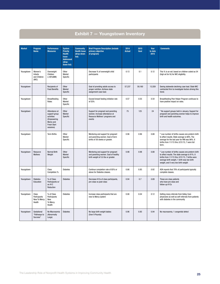### Exhibit 7 — Youngstown Inventory

| <b>Market</b> | Program<br><b>Name</b>                          | <b>Performance</b><br><b>Measures</b>                                                                      | <b>System</b><br><b>Priority</b><br><b>Health</b><br><b>Issue</b><br><b>Addressed</b><br>(drop-<br>down list) | <b>Community</b><br><b>Health Issue</b><br>(drop-down<br>list) | <b>Brief Program Description (include</b><br>primary objective<br>of program)                                     | 2014<br><b>Actual</b> | 2015<br>Goal | Year<br>to date<br>2015 | <b>Comments</b>                                                                                                                                                                                                                           |
|---------------|-------------------------------------------------|------------------------------------------------------------------------------------------------------------|---------------------------------------------------------------------------------------------------------------|----------------------------------------------------------------|-------------------------------------------------------------------------------------------------------------------|-----------------------|--------------|-------------------------|-------------------------------------------------------------------------------------------------------------------------------------------------------------------------------------------------------------------------------------------|
| Youngstown    | Women's<br>Infants<br>and Children<br>(WIC)     | Overweight<br>Children<br>$( > 95\%$ BMI)                                                                  | Other<br>Market<br>Specific                                                                                   |                                                                | Decrease % of overweight child<br>participants                                                                    | 0.13                  | 0.1          | 0.12                    | This % is an est. based on children coded as 54<br>(high wt for ht) for WIC eligibility.                                                                                                                                                  |
| Youngstown    |                                                 | Recipients of<br><b>Food Benefits</b>                                                                      | Other<br>Market<br>Specific                                                                                   |                                                                | Goal of providing adults access to<br>proper nutrition. Achieve state<br>assignment case load.                    | 57,237                | 59,160       | 13,559                  | Seeing statewide declining case load. State WIC<br>contracted firm to investigate factors driving this<br>trend.                                                                                                                          |
| Youngstown    |                                                 | Breastfeeding<br>Rates                                                                                     | Other<br>Market<br>Specific                                                                                   |                                                                | Exceed breast feeding initiation rate<br>of 55%                                                                   | 0.57                  | 0.55         | 0.54                    | Breastfeeding Peer Helper Program continues to<br>have positive impact on rates.                                                                                                                                                          |
| Youngstown    |                                                 | Attendance at<br>support group<br>activities<br>(Empowering<br>Moms and<br><b>Fresh Start</b><br>sessions) | Other<br>Market<br>Specific                                                                                   |                                                                | Support for pregnant and parenting<br>women. Increase attendance at<br>Resource Mothers' programs and<br>events   | 75                    | 125          | 24                      | * No support groups held in January. Support for<br>pregnant and parenting women helps to improve<br>birth and health outcomes.                                                                                                           |
| Youngstown    |                                                 | <b>Term Births</b>                                                                                         | Other<br>Market<br>Specific                                                                                   |                                                                | Mentoring and support for pregnant<br>and parenting women. Goal of term<br>births of 36 weeks or greater.         | 0.96                  | 0.96         | 0.88                    | * Low number of births causes one preterm birth<br>to affect results. State average is 88%. The<br>average for the last year for RM was 96%. 8<br>births from 1/1/15 thru 3/31/15, 7 were full<br>term.                                   |
| Youngstown    | Resource<br><b>Mothers</b>                      | Normal Birth<br>Weight                                                                                     | Other<br>Market<br>Specific                                                                                   |                                                                | Mentoring and support for pregnant<br>and parenting women. Goal of healthy<br>birth weight of 5.8 lbs or greater. | 0.98                  | 0.98         | 0.88                    | * Low number of births causes one preterm birth<br>to affect results. The state average is 91%. 8<br>births from 1/1/15 thru 3/31/15, 7 births were<br>average birth weight, 1 birth was low birth<br>weight, and 0 very low birth weight |
| Youngstown    |                                                 | Class<br>Completion %                                                                                      | <b>Diabetes</b>                                                                                               |                                                                | Continue completion rate of 85% or<br>above for Diabetes classes.                                                 | 0.86                  | 0.85         | 0.92                    | ADA reports that 78% of participants typically<br>complete classes.                                                                                                                                                                       |
| Youngstown    | <b>Diabetes</b><br>Education                    | % of Class<br>Participants w/<br>an A1C<br>Reduction                                                       | <b>Diabetes</b>                                                                                               |                                                                | Decrease A1Cs of class participants,<br>pre-class vs post-class                                                   | 0.94                  | 0.7          | 0.89                    | These are class patients<br>who have pre class and<br>follow up A1Cs                                                                                                                                                                      |
| Youngstown    | Class<br>Participants<br>New To Mercy<br>Health | % of Class<br>Participants<br>New<br><b>To Mercy</b><br>Health                                             | <b>Diabetes</b>                                                                                               |                                                                | Increase class participants that are<br>new to Mercy system                                                       | 0.06                  | 0.04         | 0.12                    | Getting many referrals from Valley Care<br>physicians as well as self-referrals from patients<br>with diabetes in the community                                                                                                           |
| Youngstown    | Gestational<br>"Pathways to<br>Success"         | No Macrosomia<br>(Abnormally<br>Large)                                                                     | <b>Diabetes</b>                                                                                               |                                                                | No large birth weight babies<br>(Over 9 Pounds)                                                                   | 0.96                  | 0.85         | 0.94                    | No macrosomia, 1 congenital defect                                                                                                                                                                                                        |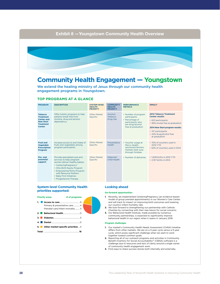### Exhibit 8 —Youngstown Community Health Overview



#### **System-level Community Health priorities supported:**



#### **Looking ahead**

#### **Go-forward opportunities**

- **1.** Recently, we implemented CenteringPregnancy (an evidence-based model of group prenatal appointments) in our Women's Care Center, and will track its impact on improving birth outcomes and lowering our county's infant mortality rate.
- **2.** We look forward to strengthening our partnership with Catholic
- Charities by connecting with their new liaison for social concerns. **3.** Our Behavioral Health Institute, made possible by numerous community partnerships, is expected to significantly improve
- behavioral health in our region when it opens in January 2016.

#### **Program challenges**

- **1.** Our market's Community Health Needs Assessment (CHNA) timeline differs from other markets. We are on a 3-year cycle versus a 5-year cycle, which poses significant challenge when we want to work together toward common goals.
- **2.** Reporting all of our outreach programs and activities in Community Benefit Inventory for Social Accountability™ (CBISA) software is a challenge due to resources and lack of clarity around a single owner of community health engagement work.
- **3.** Find ways to share success stories both internally and externally.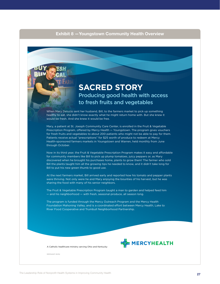### Exhibit 8 —Youngstown Community Health Overview

### **SACRED STORY** Producing good health with access to fresh fruits and vegetables

When Mary Delucio sent her husband, Bill, to the farmers market to pick up something healthy to eat, she didn't know exactly what he might return home with. But she knew it would be fresh. And she knew it would be free.

Mary, a patient at St. Joesph Community Care Center, is enrolled in the Fruit & Vegetable Prescription Program, offered by Mercy Health — Youngstown. The program gives vouchers for fresh fruits and vegetables to about 200 patients who might not be able to pay for them. Patients receive actual "prescriptions" for \$25 worth of produce to redeem at Mercy Health-sponsored farmers markets in Youngstown and Warren, held monthly from June through October.

Now in its third year, the Fruit & Vegetable Prescription Program makes it easy and affordable for community members like Bill to pick up plump tomatoes, juicy peppers or, as Mary discovered when he brought his purchases home, plants to grow them! The farmer who sold Bill the plants taught him all the growing tips he needed to know, and it didn't take long for Bill to put his new green thumb to good use.

At the next farmers market, Bill arrived early and reported how his tomato and pepper plants were thriving. Not only were he and Mary enjoying the bounties of his harvest, but he was sharing the food with many of his senior neighbors.

The Fruit & Vegetable Prescription Program taught a man to garden and helped feed him — and his neighborhood — with fresh, seasonal produce, all season long.

The program is funded through the Mercy Outreach Program and the Mercy Health Foundation Mahoning Valley, and is a coordinated effort between Mercy Health, Lake to River Food Cooperative and Trumbull Neighborhood Partnership.

A Catholic healthcare ministry serving Ohio and Kentucky



5113YOUSHT (10-15)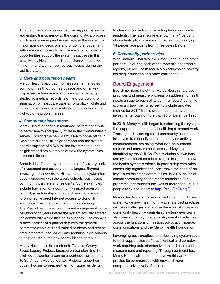1 percent two decades ago. Active support by senior leadership, transparency to the community, a process for diverse sourcing embedded across the system for major spending decisions and ongoing engagement with diverse suppliers to regularly examine inclusion opportunities support the system's success in this area. Mercy Health spent \$400 million with certified minority- and women-owned businesses during the last five years.

#### *3. Care and population health*

Mercy Health's approach to measurement enables sorting of health outcomes by race and other key disparities. A two-year effort to enhance patients' electronic medical records laid the groundwork for elimination of most care gaps among black, white and Latino patients in infant mortality, diabetes and other high-volume problem areas.

#### *4. Community investment*

Mercy Health engages in relationships that contribute to better health and quality of life in the communities it serves. Locating the new Mercy Health home office in Cincinnati's Bond Hill neighborhood and the system board's support of a \$75 million investment in that neighborhood are examples of how the system lives this commitment.

Bond Hill is affected by extreme rates of poverty, lack of investment and associated challenges. Beyond investing in its new Bond Hill campus, the system has deeply engaged with the area's schools, businesses, community partners and residents. Some examples include formation of a community impact advisory council, a partnership with a local service provider to bring high-speed Internet access to Bond Hill and robust health and education programming. The Mercy Health team's significant engagement in the neighborhood years before the system actually entered the community was critical to its success. One example is development of a partnership with the general contractor who hired and trained students and recent graduates from local career and technical high schools to help construct the new Mercy Health campus.

Mercy Health also is a partner in Toledo's Cherry Street Legacy Project, focused on transforming the blighted residential urban neighborhood surrounding its St. Vincent Medical Center. Projects range from buying houses to prepare them for future residents,

to cleaning up parks, to providing fresh produce to residents. The latest surveys show that 74 percent of residents plan to remain in the neighborhood, up 14 percentage points from three years before.

#### *5. Community partnerships*

With Catholic Charities, the Urban League, and other partners unique to each of the system's geographic regions, Mercy Health focuses on addressing poverty, housing, education and other challenges.

### Board Engagement

Board members insist that Mercy Health share best practices and measure progress on addressing health needs unique to each of its communities. A dynamic scorecard (now being revised to include updated metrics for 2017) tracks system community benefit investments totaling more than \$5 billion since 1995.

In 2016, Mercy Health began transforming the systems that support its community health improvement work. Tracking and reporting for all community health initiatives, traditionally based primarily on activity measurements, are being refocused on outcome metrics and measurement across all key areas identified by the CHNAs. This evolution allows local and system board members to gain insight into how the health system's efforts, in partnership with other community organizations, can "move the needle" on key issues facing its communities. In 2015, an initial annual community health report chronicled 244 programs that touched the lives of more than 250,000 people (view the report at [http://bit.ly/2cCNaqO\)](http://www.mercy.com/corporate/newsletter/Called.pdf).

Mission leaders and those involved in community health system-wide now meet monthly to share best practices, discuss challenges and evolve the work of improving community health. A centralized system-level team also meets monthly to ensure alignment of activities across the functions of mission, advocacy, finance, communications and the Mercy Health Foundation.

Leveraging best practices and deploying system scale to best support these efforts is critical and complex work requiring data standardization and consistent measurement and reporting. Through partnerships, Mercy Health will continue to evolve this work to provide its communities with new and more comprehensive levels of impact.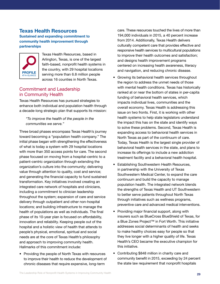### Texas Health Resources Sustained and expanding commitment to community health improvement through partnerships



Texas Health Resources, based in Arlington, Texas, is one of the largest faith-based, nonprofit health systems in the country, with 29 hospital locations serving more than 6.8 million people across 16 counties in North Texas.

### Commitment and Leadership in Community Health

Texas Health Resources has pursued strategies to enhance both individual and population health through a decade-long strategic plan that supports its mission:

### *"To improve the health of the people in the communities we serve."*

Three broad phases encompass Texas Health's journey toward becoming a "population health company." The initial phase began with strengthening the effectiveness of what is today a system with 29 hospital locations with more than 350 access points for care. The second phase focused on moving from a hospital-centric to a patient-centric organization through extending the organization's culture into the community; delivering value through attention to quality, cost and service; and generating the financial capacity to fund sustained transformation. Key initiatives involved creating an integrated care network of hospitals and clinicians, including a commitment to clinician leadership throughout the system; expansion of care and service delivery through outpatient and other non-hospital locations; and building infrastructure to manage the health of populations as well as individuals. The final phase of its 10-year plan is focused on affordability, innovation and reliability. Keeping people out of the hospital and a holistic view of health that attends to people's physical, emotional, spiritual and social needs are at the core of Texas Health's philosophy and approach to improving community health. Hallmarks of this commitment include:

• Providing the people of North Texas with resources to improve their health to reduce the development of chronic diseases that require expensive, long-term

care. These resources touched the lives of more than 194,000 individuals in 2015, a 40 percent increase from 2014. Additionally, Texas Health delivers culturally competent care that provides effective and responsive health services to multicultural populations to improve their health outcomes and satisfaction; and designs health improvement programs centered on increasing health awareness, literacy and navigation, and reducing chronic disease.

- Growing its behavioral health services throughout the region to address the unmet needs of those with mental health conditions. Texas has historically ranked at or near the bottom of states in per-capita funding of behavioral health services, which impacts individual lives, communities and the overall economy. Texas Health is addressing this issue on two fronts. First, it is working with other health systems to help state legislators understand the impact this has on the state and identify ways to solve these problems. Second, Texas Health is expanding access to behavioral health services in North Texas as part of the continuum of care. Today, Texas Health is the largest single provider of behavioral health services in the state, and plans to increase its offerings to include a new addiction treatment facility and a behavioral health hospital.
- Establishing Southwestern Health Resources, in partnership with the University of Texas Southwestern Medical Center, to expand the care continuum and build the capacity to manage population health. The integrated network blends the strengths of Texas Health and UT Southwestern to better serve patients throughout North Texas through initiatives such as wellness programs, preventive care and advanced medical interventions.
- Providing major financial support, along with insurers such as BlueCross BlueShield of Texas, for a Blue Zones Project™ in Fort Worth. This initiative addresses social determinants of health and seeks to make healthy choices easy for people so that they live longer with a higher quality of life. Texas Health's CEO became the executive champion for this initiative.
- Contributing \$848 million in charity care and community benefit in 2015, exceeding by 24 percent the state law requirement that nonprofit hospitals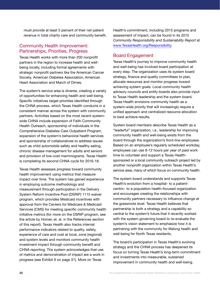must provide at least 5 percent of their net patient revenue in total charity care and community benefit.

### Community Health Improvement: Partnerships, Priorities, Progress

Texas Health works with more than 200 nonprofit partners in the region to increase health and wellbeing locally, including formal agreements with strategic nonprofit partners like the American Cancer Society, American Diabetes Association, American Heart Association and March of Dimes.

The system's service area is diverse, creating a variety of opportunities for enhancing health and well-being. Specific initiatives target priorities identified through the CHNA process, which Texas Health conducts in a consistent manner across the system with community partners. Activities based on the most recent systemwide CHNA include expansion of Faith Community Health Outreach, sponsorship of individuals in the Comprehensive Diabetes Care Outpatient Program, expansion of the system's behavioral health services and sponsorship of collaboratives to address issues such as child automobile safety and healthy eating, chronic disease management for adults and seniors and provision of low-cost mammograms. Texas Health is completing its second CHNA cycle for 2016-18.

Texas Health assesses progress toward community health improvement using metrics that measure impact over time. The system has gained experience in employing outcome methodology and measurement through participation in the Delivery System Reform Incentive Pool (DSRIP) 1115 waiver program, which provides Medicaid incentives with approval from the Centers for Medicare & Medicaid Services (CMS) for meeting specific community health initiative metrics (for more on the DSRIP program, see the article by Homer, et. al. in the References section of this report). Texas Health also tracks internal performance indicators related to quality, safety, experience of care and cost at local, zone (regional) and system levels and monitors community health investment impact through community benefit and CHNA reporting. The system acknowledges that use of metrics and demonstration of impact are a work in progress (see Exhibit 9 on page 31). More on Texas

Health's commitment, including 2015 programs and assessment of impact, can be found in its *2015 Community Responsibility and Sustainability Report* at [www.TexasHealth.org/Responsibility.](http://www.TexasHealth.org/Responsibility)

### Board Engagement

Texas Health's journey to improve community health and well-being has involved board participation at every step. The organization uses its system board strategy, finance and quality committees to plan, allocate resources and monitor progress toward achieving system goals. Local community health advisory councils and entity boards also provide input to Texas Health leadership and the system board. Texas Health envisions community health as a system-wide priority that will increasingly require a unified approach and centralized resource allocation to best achieve results.

System board members describe Texas Health as a "leaderful" organization, i.e., leadership for improving community health and well-being exists from the board through the organization's front-line employees. Based on an employee's regularly scheduled workday, employees can use 8-12 hours per year of paid work time to volunteer and support a Texas Healthsponsored or a local community outreach project led by another nonprofit organization within Texas Health's service area, many of which focus on community health.

The system board understands and supports Texas Health's evolution from a hospital- to a patientcentric- to a population health-focused organization and encourages creating the relationships with community partners necessary to influence change at the grassroots level. Texas Health believes that partnership is both a strategy and a capability so central to the system's future that it recently worked with the system governing board to re-evaluate the system's vision statement to emphasize how it is partnering with the community for lifelong health and well-being for North Texas residents.

The board's participation in Texas Health's evolving strategy and the CHNA process has deepened its focus on turning Texas Health's long-term commitment and investments into measurable, sustained improvement in community health and well-being.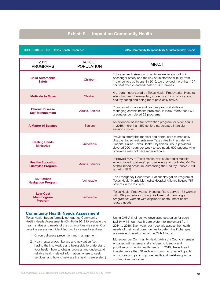### Exhibit 9 — Impact on Community Health

OUR COMMUNITIES | Texas Health Resources 2015 Community Responsibility & Sustainability Report

| 2015<br><b>PROGRAMS</b>                               | <b>TARGET</b><br><b>POPULATION</b> | <b>IMPACT</b>                                                                                                                                                                                                                                                                        |
|-------------------------------------------------------|------------------------------------|--------------------------------------------------------------------------------------------------------------------------------------------------------------------------------------------------------------------------------------------------------------------------------------|
| <b>Child Automobile</b><br><b>Safety</b>              | Children                           | Educates and raises community awareness about child<br>passenger safety and the risk of unintentional injury from<br>motor vehicle collisions. In 2015, we provided more than 157<br>car seat checks and educated 1,907 families.                                                    |
| <b>Motivate to Move</b>                               | Children                           | A program sponsored by Texas Health Presbyterian Hospital<br>Allen that taught elementary students at 17 schools about<br>healthy eating and being more physically active.                                                                                                           |
| <b>Chronic Disease</b><br><b>Self-Management</b>      | <b>Adults, Seniors</b>             | Provides information and teaches practical skills on<br>managing chronic health problems. In 2015, more than 263<br>graduates completed 29 programs.                                                                                                                                 |
| <b>A Matter of Balance</b>                            | <b>Seniors</b>                     | An evidence-based fall prevention program for older adults.<br>In 2015, more than 352 seniors participated in an eight-<br>session course.                                                                                                                                           |
| <b>Healing Hands</b><br><b>Ministries</b>             | Vulnerable                         | Provides affordable medical and dental care to medically<br>disadvantaged residents near Texas Health Presbyterian<br>Hospital Dallas. Texas Health Physicians Group providers<br>devoted 200 hours per week to see nearly 600 patients who<br>otherwise may not have received care. |
| <b>Healthy Education</b><br><b>Lifestyles Program</b> | <b>Adults, Seniors</b>             | Improved 80% of Texas Health Harris Methodist Hospital<br>Azle's diabetic patients' glucose levels and controlled 64.7%<br>of their blood pressure, surpassing the Healthy People 2020<br>target of 57%.                                                                             |
| <b>ED Patient</b><br><b>Navigation Program</b>        | Vulnerable                         | The Emergency Department Patient Navigation Program at<br>Texas Health Harris Methodist Hospital Alliance helped 787<br>patients in the last year.                                                                                                                                   |
| <b>Low-Cost</b><br><b>Mammogram</b><br>Program        | Vulnerable                         | Texas Health Presbyterian Hospital Plano served 133 women<br>with 162 procedures through its low-cost mammogram<br>program for women with disproportionate unmet health-<br>related needs.                                                                                           |

#### Community Health Needs Assessment

Texas Health began formally conducting Community Health Needs Assessments (CHNA) in 2013 to evaluate the health status and needs of the communities we serve. Our baseline assessment identified two key areas to address:

- 1. Chronic disease prevention and management.
- 2. Health awareness, literacy and navigation (i.e., having the knowledge and being able to understand your health; how to obtain, process and understand reliable health-related information; where to seek services; and how to navigate the health care system).

Using CHNA findings, we developed strategies for each facility within our health care system to implement from 2014 to 2016. Each year, our hospitals assess the health needs of their local communities to determine if changes are needed based on what the CHNA found.

Moreover, our Community Health Advisory Councils remain engaged with external stakeholders to identify and prioritize community health needs. In 2015, Texas Health invested more than \$1 million in community benefit grants and sponsorships to improve health and well-being in the communities we serve.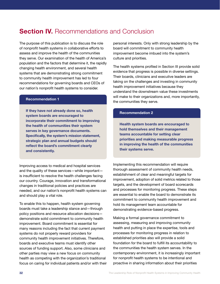### **Section IV.** Recommendations and Conclusion

The purpose of this publication is to discuss the role of nonprofit health systems in collaborative efforts to assess and improve the health of the communities they serve. Our examination of the health of America's population and the factors that determine it, the rapidly changing health environment, and several health systems that are demonstrating strong commitment to community health improvement has led to four recommendations for governing boards and CEOs of our nation's nonprofit health systems to consider.

#### Recommendation 1

If they have not already done so, health system boards are encouraged to incorporate their commitment to improving the health of communities their system serves in key governance documents. Specifically, the system's mission statement, strategic plan and annual budgets should reflect the board's commitment clearly and consistently.

Improving access to medical and hospital services and the quality of these services—while important is insufficient to resolve the health challenges facing our country. Courage, innovation and transformational changes in traditional policies and practices are needed, and our nation's nonprofit health systems can and should play a vital role.

To enable this to happen, health system governing boards must take a leadership stance and—through policy positions and resource allocation decisions demonstrate solid commitment to community health improvement. Board commitment is essential for many reasons including the fact that current payment systems do not properly reward providers for community health improvement initiatives. Therefore, boards and executive teams must identify other sources of funding support. Also, some clinicians and other parties may view a new focus on community health as competing with the organization's traditional focus on caring for individual patients and/or with their personal interests. Only with strong leadership by the board will commitment to community health improvement become imbued into the system's culture and priorities.

The health systems profiled in Section III provide solid evidence that progress is possible in diverse settings. Their boards, clinicians and executive leaders are taking on the challenges and investing in community health improvement initiatives because they understand the downstream value these investments will make to their organizations and, more importantly, the communities they serve.

#### Recommendation 2

Health system boards are encouraged to hold themselves and their management teams accountable for setting clear priorities and making measurable progress in improving the health of the communities their systems serve.

Implementing this recommendation will require thorough assessment of community health needs, establishment of clear and meaningful targets for improvement, adoption of solid metrics related to those targets, and the development of board scorecards and processes for monitoring progress. These steps are essential to enable the board to demonstrate its commitment to community health improvement and hold its management team accountable for demonstrating evidence-based progress.

Making a formal governance commitment to assessing, measuring and improving community health and putting in place the expertise, tools and processes for monitoring progress in relation to established priorities also will provide a solid foundation for the board to fulfill its accountability to the communities the health system serves. In the contemporary environment, it is increasingly important for nonprofit health systems to be intentional and proactive in sharing information about their priorities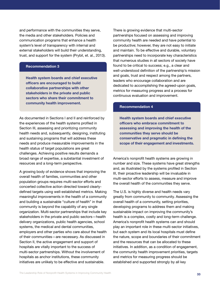and performance with the communities they serve, the media and other stakeholders. Policies and communication programs that enhance a health system's level of transparency with internal and external stakeholders will build their understanding, trust, and support for the system (Prybil, et. al., 2013).

#### Recommendation 3

Health system boards and chief executive officers are encouraged to build collaborative partnerships with other stakeholders in the private and public sectors who share their commitment to community health improvement.

As documented in Sections I and II and reinforced by the experiences of the health systems profiled in Section III, assessing and prioritizing community health needs and, subsequently, designing, instituting and sustaining programs that will address these needs and produce measurable improvements in the health status of target populations are great challenges. Achieving positive results demands a broad range of expertise, a substantial investment of resources and a long-term perspective.

A growing body of evidence shows that improving the overall health of families, communities and other population groups requires multi-sector efforts and concerted collective action directed toward clearlydefined targets using well-established metrics. Making meaningful improvements in the health of a community and building a sustainable "culture of health" in that community is beyond the capability of any single organization. Multi-sector partnerships that include key stakeholders in the private and public sectors—health delivery organizations, public health agencies, school systems, the medical and dental communities, employers and other parties who care about the health of their communities—are necessary. As discussed in Section II, the active engagement and support of hospitals are vitally important to the success of multi-sector partnerships. Without the involvement of hospitals as anchor institutions, these community initiatives are unlikely to be effective and sustainable.

There is growing evidence that multi-sector partnerships focused on assessing and improving community health are needed and have potential to be productive; however, they are not easy to initiate and maintain. To be effective and durable, voluntary partnerships need to incorporate key characteristics that numerous studies in all sectors of society have found to be critical to success; e.g., a clear and well-understood definition of the partnership's mission and goals, trust and respect among the partners, leaders who encourage collaboration and are dedicated to accomplishing the agreed-upon goals, metrics for measuring progress and a process for continuous evaluation and improvement.

#### Recommendation 4

Health system boards and chief executive officers who embrace commitment to assessing and improving the health of the communities they serve should be conservative and pragmatic in defining the scope of their engagement and investments.

America's nonprofit health systems are growing in number and size. These systems have great strengths and, as illustrated by the systems profiled in Section III, their proactive leadership will be invaluable in multi-sector efforts to assess, measure and improve the overall health of the communities they serve.

The U.S. is highly diverse and health needs vary greatly from community to community. Assessing the overall health of a community, setting priorities, developing programs to address them and making sustainable impact on improving the community's health is a complex, costly and long-term challenge. America's nonprofit health systems can and should play an important role in these multi-sector initiatives, but each system and its local hospitals must define the nature, scope and boundaries of their commitment and the resources that can be allocated to these initiatives. In addition, as a condition of engagement, the community health improvement priorities, targets and metrics for measuring progress should be established and supported strongly by all key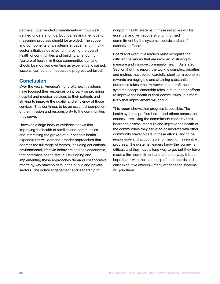partners. Open-ended commitments without welldefined understandings, boundaries and methods for measuring progress should be avoided. The scope and components of a system's engagement in multisector initiatives devoted to improving the overall health of communities and building an enduring "culture of health" in those communities can and should be modified over time as experience is gained, lessons learned and measurable progress achieved.

### **Conclusion**

Over the years, America's nonprofit health systems have focused their resources principally on providing hospital and medical services to their patients and striving to improve the quality and efficiency of those services. This continues to be an essential component of their mission and responsibility to the communities they serve.

However, a large body of evidence shows that improving the health of families and communities and restraining the growth of our nation's health expenditures will demand broader approaches that address the full range of factors, including educational, environmental, lifestyle behaviors and socioeconomic, that determine health status. Developing and implementing these approaches demand collaborative efforts by key stakeholders in the public and private sectors. The active engagement and leadership of

nonprofit health systems in these initiatives will be essential and will require strong, informed commitment by the systems' boards and chief executive officers.

Board and executive leaders must recognize the difficult challenges that are involved in striving to measure and improve community health. As stated in Section II of this report, the work is complex, priorities and metrics must be set carefully, short-term economic rewards are negligible and attaining substantial outcomes takes time. However, if nonprofit health systems accept leadership roles in multi-sector efforts to improve the health of their communities, it is more likely that improvement will occur.

This report shows that progress is possible. The health systems profiled here—and others across the country—are living the commitment made by their boards to assess, measure and improve the health of the communities they serve; to collaborate with other community stakeholders in these efforts; and to be responsible and accountable for making measurable progress. The systems' leaders know the journey is difficult and they have a long way to go, but they have made a firm commitment and are underway. It is our hope that—with the leadership of their boards and chief executive officers—many other health systems will join them.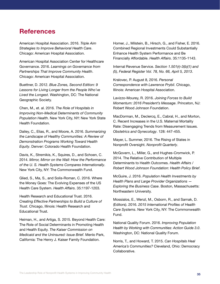### **References**

American Hospital Association. 2016. *Triple Aim Strategies to Improve Behavioral Health Care*. Chicago: American Hospital Association.

American Hospital Association Center for Healthcare Governance. 2016. *Learnings on Governance from Partnerships That Improve Community Health*. Chicago: American Hospital Association.

Buettner, D. 2012. *Blue Zones, Second Edition: 9 Lessons for Living Longer from the People Who've Lived the Longest*. Washington, DC: The National Geographic Society.

Chen, M., et. al. 2016. *The Role of Hospitals in Improving Non-Medical Determinants of Community Population Health*. New York City, NY: New York State Health Foundation.

Dailey, C., Elias, R., and Moore, A. 2016. *Summarizing the Landscape of Healthy Communities: A Review of Demonstration Programs Working Toward Health Equity*. Denver: Colorado Health Foundation.

Davis, K., Stremikis, K., Squires, D., and Schoen, C. 2014. *Mirror, Mirror on the Wall: How the Performance of the U. S. Health Systems Compares Internationally*. New York City, NY: The Commonwealth Fund.

Glied, S., Ma, S., and Solis-Roman, C. 2016. Where the Money Goes: The Evolving Expenses of the US Health Care System. *Health Affairs*. 35:1197-1203.

Health Research and Educational Trust. 2016. *Creating Effective Partnerships to Build a Culture of Trust*. Chicago, Illinois: Health Research and Educational Trust.

Heiman, H., and Artiga, S. 2015. Beyond Health Care: The Role of Social Determinants in Promoting Health and Health Equity. *The Kaiser Commission on Medicaid and the Uninsured: Issue Brief*. Menlo Park, California: The Henry J. Kaiser Family Foundation.

Homer, J., Milstein, B., Hirsch, G., and Fisher, E. 2016. Combined Regional Investments Could Substantially Enhance Health System Performance and Be Financially Affordable. *Health Affairs*. 35:1135-1143.

Internal Revenue Service. *Section 1.501(r)-3(b)(1) and (5), Federal Register Vol. 78, No. 66, April 5, 2013*.

Kralovec, P. August 8, 2016. *Personal Correspondence with Lawrence Prybil*. Chicago, Illinois: American Hospital Association.

Lavizzo-Mourey, R. 2016. *Joining Forces to Build Momentum: 2016 President's Message*. Princeton, NJ: Robert Wood Johnson Foundation.

MacDorman, M., Declercq, E., Cabral, H., and Morton, C. Recent Increases in the U.S. Maternal Mortality Rate: Disengaging Trends from Measurement Issues. *Obstetrics and Gynecology*. 128: 447-455.

Mayer, L. Summer, 2016. The Rising of States in Nonprofit Oversight. *Nonprofit Quarterly*.

McGovern, L., Miller, G., and Hughes-Cromwick, P. 2014. The Relative Contribution of Multiple Determinants to Health Outcomes. *Health Affairs / Robert Wood Johnson Foundation: Health Policy Brief*.

McGuire, J. 2016. *Population Health Investments by Health Plans and Large Provider Organizations — Exploring the Business Case*. Boston, Massachusetts: Northeastern University.

Mossialos, E., Wenzl, M., Osborn, R., and Sarnak, D. (Editors). 2016. *2015 International Profiles of Health Care Systems*. New York City, NY: The Commonwealth Fund.

National Quality Forum. 2016. *Improving Population Health by Working with Communities: Action Guide 3.0*. Washington, DC: National Quality Forum.

Norris, T., and Howard, T. 2015. *Can Hospitals Heal America's Communities?* Cleveland, Ohio: Democracy Collaborative.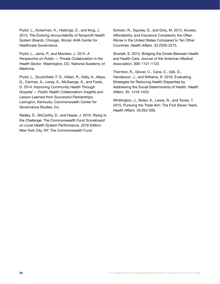Prybil, L., Ackerman, K., Hastings, D., and King, J. 2013. *The Evolving Accountability of Nonprofit Health System Boards*. Chicago, Illinois: AHA Center for Healthcare Governance.

Prybil, L., Jarris, P., and Montero, J. 2015. *A Perspective on Public — Private Collaboration in the Health Sector*. Washington, DC: National Academy of Medicine.

Prybil, L., Scutchfield, F. D., Killian, R., Kelly, A., Mays, G., Carman, A., Levey, S., McGeorge, A., and Fardo, D. 2014. *Improving Community Health Through Hospital — Public Health Collaboration: Insights and Lesson Learned from Successful Partnerships*. Lexington, Kentucky: Commonwealth Center for Governance Studies, Inc.

Radley, D., McCarthy, D., and Hayes, J. 2016. *Rising to the Challenge: The Commonwealth Fund Scoreboard on Local Health System Performance, 2016 Edition*. New York City, NY. The Commonwealth Fund.

Schoen, R., Squires, D., and Doty, M. 2013. Access, Affordability, and Insurance Complexity Are Often Worse in the United States Compared to Ten Other Countries. *Health Affairs*. 32:2205-2215.

Shortell, S. 2013. Bridging the Divide Between Health and Health Care. *Journal of the American Medical Association*. 309: 1121-1122.

Thornton, R., Glover, C., Cene, C., Gilk, D., Henderson, J., and Williams, R. 2016. Evaluating Strategies for Reducing Health Disparities by Addressing the Social Determinants of Health. *Health Affairs*. 35: 1416-1423.

Whittington, J., Nolan, K., Lewis, N., and Torres, T. 2015. Pursuing the Triple Aim: The First Seven Years. *Health Affairs*. 35:263-300.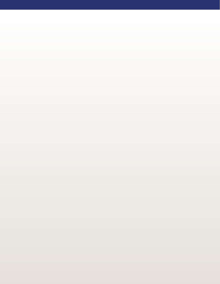